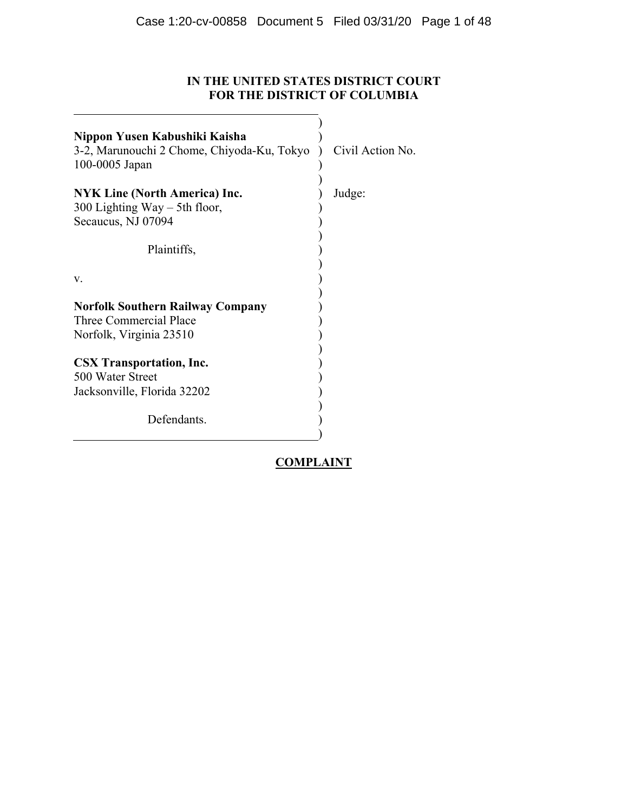# **IN THE UNITED STATES DISTRICT COURT FOR THE DISTRICT OF COLUMBIA**

| Nippon Yusen Kabushiki Kaisha<br>3-2, Marunouchi 2 Chome, Chiyoda-Ku, Tokyo<br>100-0005 Japan | Civil Action No. |
|-----------------------------------------------------------------------------------------------|------------------|
| <b>NYK Line (North America) Inc.</b><br>300 Lighting Way $-$ 5th floor,<br>Secaucus, NJ 07094 | Judge:           |
| Plaintiffs,                                                                                   |                  |
| v.                                                                                            |                  |
| <b>Norfolk Southern Railway Company</b><br>Three Commercial Place<br>Norfolk, Virginia 23510  |                  |
| <b>CSX Transportation, Inc.</b><br>500 Water Street<br>Jacksonville, Florida 32202            |                  |
| Defendants.                                                                                   |                  |

# **COMPLAINT**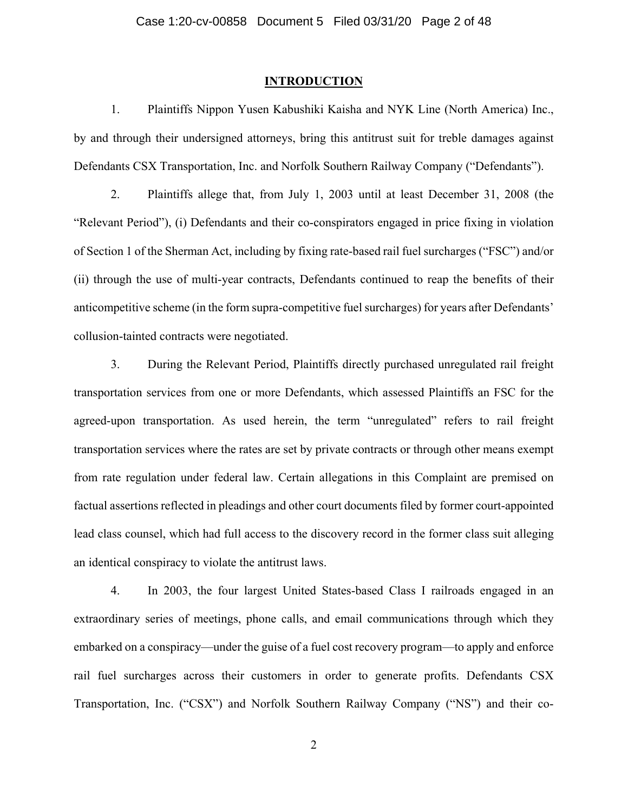# **INTRODUCTION**

1. Plaintiffs Nippon Yusen Kabushiki Kaisha and NYK Line (North America) Inc., by and through their undersigned attorneys, bring this antitrust suit for treble damages against Defendants CSX Transportation, Inc. and Norfolk Southern Railway Company ("Defendants").

2. Plaintiffs allege that, from July 1, 2003 until at least December 31, 2008 (the "Relevant Period"), (i) Defendants and their co-conspirators engaged in price fixing in violation of Section 1 of the Sherman Act, including by fixing rate-based rail fuel surcharges ("FSC") and/or (ii) through the use of multi-year contracts, Defendants continued to reap the benefits of their anticompetitive scheme (in the form supra-competitive fuel surcharges) for years after Defendants' collusion-tainted contracts were negotiated.

3. During the Relevant Period, Plaintiffs directly purchased unregulated rail freight transportation services from one or more Defendants, which assessed Plaintiffs an FSC for the agreed-upon transportation. As used herein, the term "unregulated" refers to rail freight transportation services where the rates are set by private contracts or through other means exempt from rate regulation under federal law. Certain allegations in this Complaint are premised on factual assertions reflected in pleadings and other court documents filed by former court-appointed lead class counsel, which had full access to the discovery record in the former class suit alleging an identical conspiracy to violate the antitrust laws.

4. In 2003, the four largest United States-based Class I railroads engaged in an extraordinary series of meetings, phone calls, and email communications through which they embarked on a conspiracy—under the guise of a fuel cost recovery program—to apply and enforce rail fuel surcharges across their customers in order to generate profits. Defendants CSX Transportation, Inc. ("CSX") and Norfolk Southern Railway Company ("NS") and their co-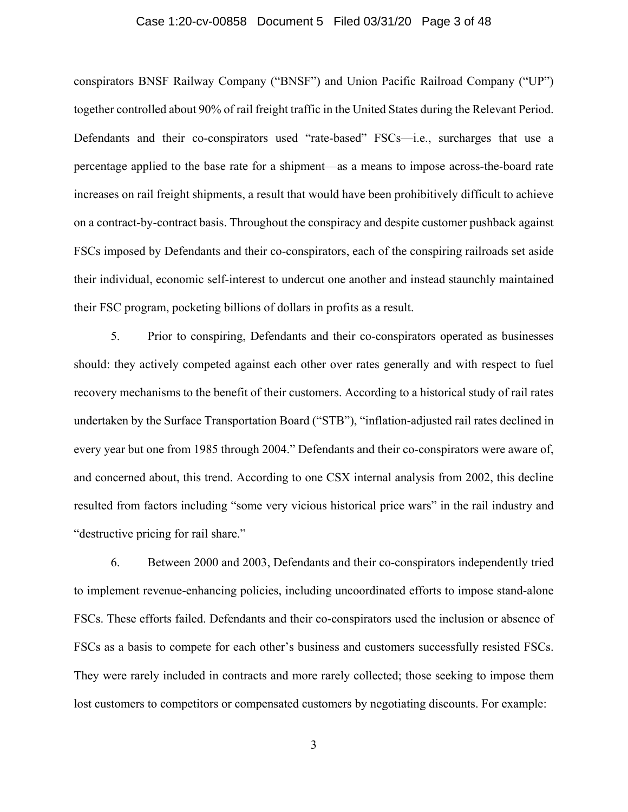# Case 1:20-cv-00858 Document 5 Filed 03/31/20 Page 3 of 48

conspirators BNSF Railway Company ("BNSF") and Union Pacific Railroad Company ("UP") together controlled about 90% of rail freight traffic in the United States during the Relevant Period. Defendants and their co-conspirators used "rate-based" FSCs—i.e., surcharges that use a percentage applied to the base rate for a shipment—as a means to impose across-the-board rate increases on rail freight shipments, a result that would have been prohibitively difficult to achieve on a contract-by-contract basis. Throughout the conspiracy and despite customer pushback against FSCs imposed by Defendants and their co-conspirators, each of the conspiring railroads set aside their individual, economic self-interest to undercut one another and instead staunchly maintained their FSC program, pocketing billions of dollars in profits as a result.

5. Prior to conspiring, Defendants and their co-conspirators operated as businesses should: they actively competed against each other over rates generally and with respect to fuel recovery mechanisms to the benefit of their customers. According to a historical study of rail rates undertaken by the Surface Transportation Board ("STB"), "inflation-adjusted rail rates declined in every year but one from 1985 through 2004." Defendants and their co-conspirators were aware of, and concerned about, this trend. According to one CSX internal analysis from 2002, this decline resulted from factors including "some very vicious historical price wars" in the rail industry and "destructive pricing for rail share."

6. Between 2000 and 2003, Defendants and their co-conspirators independently tried to implement revenue-enhancing policies, including uncoordinated efforts to impose stand-alone FSCs. These efforts failed. Defendants and their co-conspirators used the inclusion or absence of FSCs as a basis to compete for each other's business and customers successfully resisted FSCs. They were rarely included in contracts and more rarely collected; those seeking to impose them lost customers to competitors or compensated customers by negotiating discounts. For example: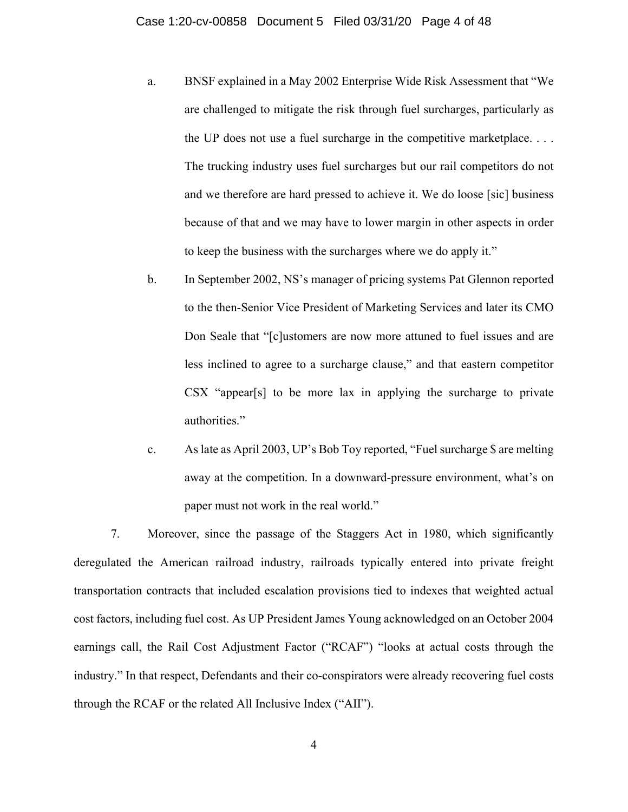- a. BNSF explained in a May 2002 Enterprise Wide Risk Assessment that "We are challenged to mitigate the risk through fuel surcharges, particularly as the UP does not use a fuel surcharge in the competitive marketplace. . . . The trucking industry uses fuel surcharges but our rail competitors do not and we therefore are hard pressed to achieve it. We do loose [sic] business because of that and we may have to lower margin in other aspects in order to keep the business with the surcharges where we do apply it."
- b. In September 2002, NS's manager of pricing systems Pat Glennon reported to the then-Senior Vice President of Marketing Services and later its CMO Don Seale that "[c]ustomers are now more attuned to fuel issues and are less inclined to agree to a surcharge clause," and that eastern competitor CSX "appear[s] to be more lax in applying the surcharge to private authorities."
- c. As late as April 2003, UP's Bob Toy reported, "Fuel surcharge \$ are melting away at the competition. In a downward-pressure environment, what's on paper must not work in the real world."

7. Moreover, since the passage of the Staggers Act in 1980, which significantly deregulated the American railroad industry, railroads typically entered into private freight transportation contracts that included escalation provisions tied to indexes that weighted actual cost factors, including fuel cost. As UP President James Young acknowledged on an October 2004 earnings call, the Rail Cost Adjustment Factor ("RCAF") "looks at actual costs through the industry." In that respect, Defendants and their co-conspirators were already recovering fuel costs through the RCAF or the related All Inclusive Index ("AII").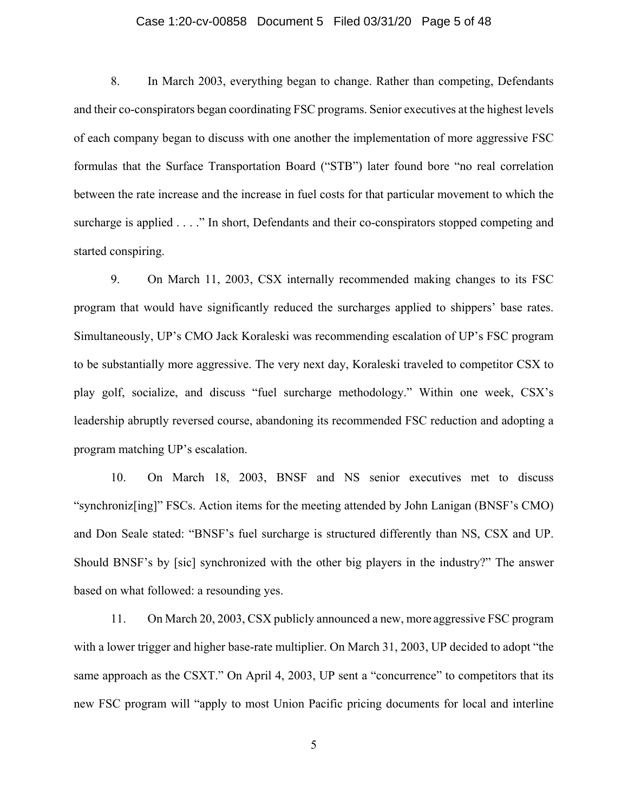# Case 1:20-cv-00858 Document 5 Filed 03/31/20 Page 5 of 48

8. In March 2003, everything began to change. Rather than competing, Defendants and their co-conspirators began coordinating FSC programs. Senior executives at the highest levels of each company began to discuss with one another the implementation of more aggressive FSC formulas that the Surface Transportation Board ("STB") later found bore "no real correlation between the rate increase and the increase in fuel costs for that particular movement to which the surcharge is applied . . . ." In short, Defendants and their co-conspirators stopped competing and started conspiring.

9. On March 11, 2003, CSX internally recommended making changes to its FSC program that would have significantly reduced the surcharges applied to shippers' base rates. Simultaneously, UP's CMO Jack Koraleski was recommending escalation of UP's FSC program to be substantially more aggressive. The very next day, Koraleski traveled to competitor CSX to play golf, socialize, and discuss "fuel surcharge methodology." Within one week, CSX's leadership abruptly reversed course, abandoning its recommended FSC reduction and adopting a program matching UP's escalation.

10. On March 18, 2003, BNSF and NS senior executives met to discuss "synchroniz[ing]" FSCs. Action items for the meeting attended by John Lanigan (BNSF's CMO) and Don Seale stated: "BNSF's fuel surcharge is structured differently than NS, CSX and UP. Should BNSF's by [sic] synchronized with the other big players in the industry?" The answer based on what followed: a resounding yes.

11. On March 20, 2003, CSX publicly announced a new, more aggressive FSC program with a lower trigger and higher base-rate multiplier. On March 31, 2003, UP decided to adopt "the same approach as the CSXT." On April 4, 2003, UP sent a "concurrence" to competitors that its new FSC program will "apply to most Union Pacific pricing documents for local and interline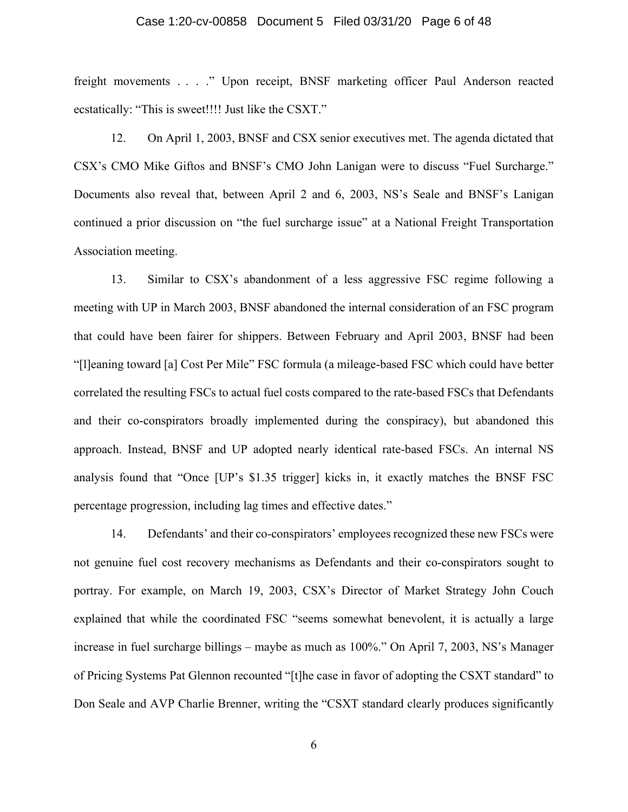# Case 1:20-cv-00858 Document 5 Filed 03/31/20 Page 6 of 48

freight movements . . . ." Upon receipt, BNSF marketing officer Paul Anderson reacted ecstatically: "This is sweet!!!! Just like the CSXT."

12. On April 1, 2003, BNSF and CSX senior executives met. The agenda dictated that CSX's CMO Mike Giftos and BNSF's CMO John Lanigan were to discuss "Fuel Surcharge." Documents also reveal that, between April 2 and 6, 2003, NS's Seale and BNSF's Lanigan continued a prior discussion on "the fuel surcharge issue" at a National Freight Transportation Association meeting.

13. Similar to CSX's abandonment of a less aggressive FSC regime following a meeting with UP in March 2003, BNSF abandoned the internal consideration of an FSC program that could have been fairer for shippers. Between February and April 2003, BNSF had been "[l]eaning toward [a] Cost Per Mile" FSC formula (a mileage-based FSC which could have better correlated the resulting FSCs to actual fuel costs compared to the rate-based FSCs that Defendants and their co-conspirators broadly implemented during the conspiracy), but abandoned this approach. Instead, BNSF and UP adopted nearly identical rate-based FSCs. An internal NS analysis found that "Once [UP's \$1.35 trigger] kicks in, it exactly matches the BNSF FSC percentage progression, including lag times and effective dates."

14. Defendants' and their co-conspirators' employees recognized these new FSCs were not genuine fuel cost recovery mechanisms as Defendants and their co-conspirators sought to portray. For example, on March 19, 2003, CSX's Director of Market Strategy John Couch explained that while the coordinated FSC "seems somewhat benevolent, it is actually a large increase in fuel surcharge billings – maybe as much as 100%." On April 7, 2003, NS's Manager of Pricing Systems Pat Glennon recounted "[t]he case in favor of adopting the CSXT standard" to Don Seale and AVP Charlie Brenner, writing the "CSXT standard clearly produces significantly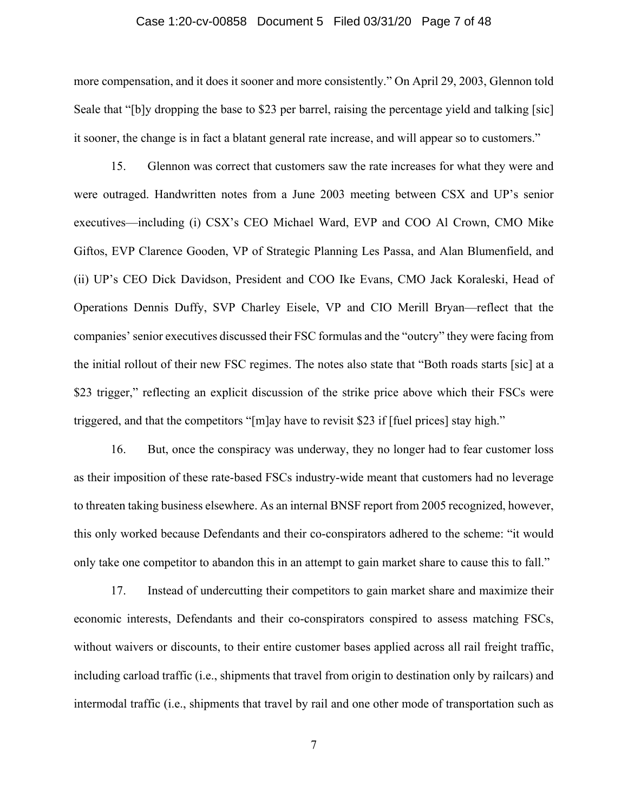# Case 1:20-cv-00858 Document 5 Filed 03/31/20 Page 7 of 48

more compensation, and it does it sooner and more consistently." On April 29, 2003, Glennon told Seale that "[b]y dropping the base to \$23 per barrel, raising the percentage yield and talking [sic] it sooner, the change is in fact a blatant general rate increase, and will appear so to customers."

15. Glennon was correct that customers saw the rate increases for what they were and were outraged. Handwritten notes from a June 2003 meeting between CSX and UP's senior executives—including (i) CSX's CEO Michael Ward, EVP and COO Al Crown, CMO Mike Giftos, EVP Clarence Gooden, VP of Strategic Planning Les Passa, and Alan Blumenfield, and (ii) UP's CEO Dick Davidson, President and COO Ike Evans, CMO Jack Koraleski, Head of Operations Dennis Duffy, SVP Charley Eisele, VP and CIO Merill Bryan—reflect that the companies' senior executives discussed their FSC formulas and the "outcry" they were facing from the initial rollout of their new FSC regimes. The notes also state that "Both roads starts [sic] at a \$23 trigger," reflecting an explicit discussion of the strike price above which their FSCs were triggered, and that the competitors "[m]ay have to revisit \$23 if [fuel prices] stay high."

16. But, once the conspiracy was underway, they no longer had to fear customer loss as their imposition of these rate-based FSCs industry-wide meant that customers had no leverage to threaten taking business elsewhere. As an internal BNSF report from 2005 recognized, however, this only worked because Defendants and their co-conspirators adhered to the scheme: "it would only take one competitor to abandon this in an attempt to gain market share to cause this to fall."

17. Instead of undercutting their competitors to gain market share and maximize their economic interests, Defendants and their co-conspirators conspired to assess matching FSCs, without waivers or discounts, to their entire customer bases applied across all rail freight traffic, including carload traffic (i.e., shipments that travel from origin to destination only by railcars) and intermodal traffic (i.e., shipments that travel by rail and one other mode of transportation such as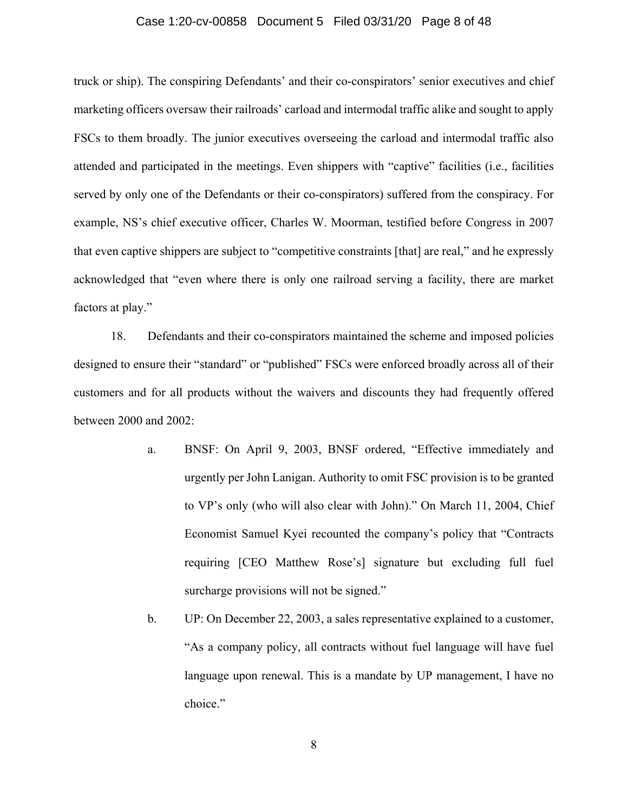#### Case 1:20-cv-00858 Document 5 Filed 03/31/20 Page 8 of 48

truck or ship). The conspiring Defendants' and their co-conspirators' senior executives and chief marketing officers oversaw their railroads' carload and intermodal traffic alike and sought to apply FSCs to them broadly. The junior executives overseeing the carload and intermodal traffic also attended and participated in the meetings. Even shippers with "captive" facilities (i.e., facilities served by only one of the Defendants or their co-conspirators) suffered from the conspiracy. For example, NS's chief executive officer, Charles W. Moorman, testified before Congress in 2007 that even captive shippers are subject to "competitive constraints [that] are real," and he expressly acknowledged that "even where there is only one railroad serving a facility, there are market factors at play."

18. Defendants and their co-conspirators maintained the scheme and imposed policies designed to ensure their "standard" or "published" FSCs were enforced broadly across all of their customers and for all products without the waivers and discounts they had frequently offered between 2000 and 2002:

- a. BNSF: On April 9, 2003, BNSF ordered, "Effective immediately and urgently per John Lanigan. Authority to omit FSC provision is to be granted to VP's only (who will also clear with John)." On March 11, 2004, Chief Economist Samuel Kyei recounted the company's policy that "Contracts requiring [CEO Matthew Rose's] signature but excluding full fuel surcharge provisions will not be signed."
- b. UP: On December 22, 2003, a sales representative explained to a customer, "As a company policy, all contracts without fuel language will have fuel language upon renewal. This is a mandate by UP management, I have no choice."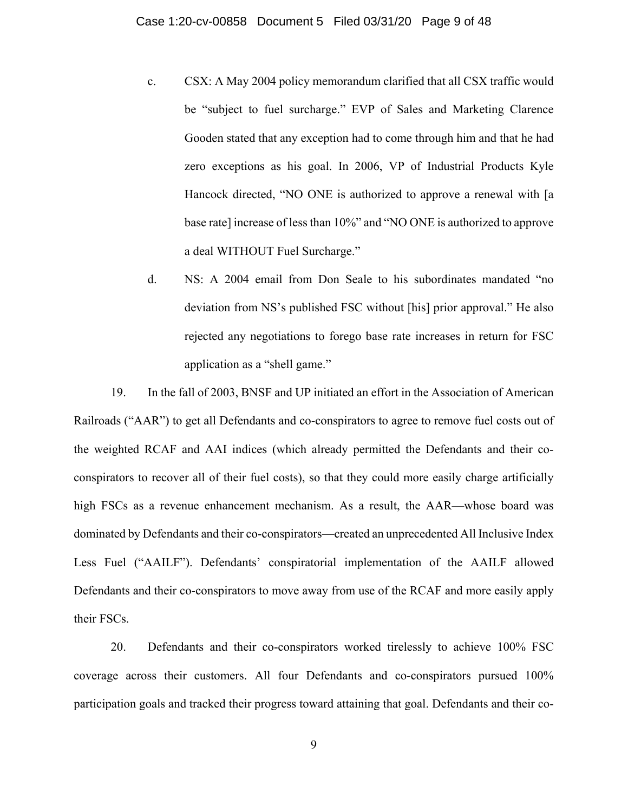- c. CSX: A May 2004 policy memorandum clarified that all CSX traffic would be "subject to fuel surcharge." EVP of Sales and Marketing Clarence Gooden stated that any exception had to come through him and that he had zero exceptions as his goal. In 2006, VP of Industrial Products Kyle Hancock directed, "NO ONE is authorized to approve a renewal with [a base rate] increase of less than 10%" and "NO ONE is authorized to approve a deal WITHOUT Fuel Surcharge."
- d. NS: A 2004 email from Don Seale to his subordinates mandated "no deviation from NS's published FSC without [his] prior approval." He also rejected any negotiations to forego base rate increases in return for FSC application as a "shell game."

19. In the fall of 2003, BNSF and UP initiated an effort in the Association of American Railroads ("AAR") to get all Defendants and co-conspirators to agree to remove fuel costs out of the weighted RCAF and AAI indices (which already permitted the Defendants and their coconspirators to recover all of their fuel costs), so that they could more easily charge artificially high FSCs as a revenue enhancement mechanism. As a result, the AAR—whose board was dominated by Defendants and their co-conspirators—created an unprecedented All Inclusive Index Less Fuel ("AAILF"). Defendants' conspiratorial implementation of the AAILF allowed Defendants and their co-conspirators to move away from use of the RCAF and more easily apply their FSCs.

20. Defendants and their co-conspirators worked tirelessly to achieve 100% FSC coverage across their customers. All four Defendants and co-conspirators pursued 100% participation goals and tracked their progress toward attaining that goal. Defendants and their co-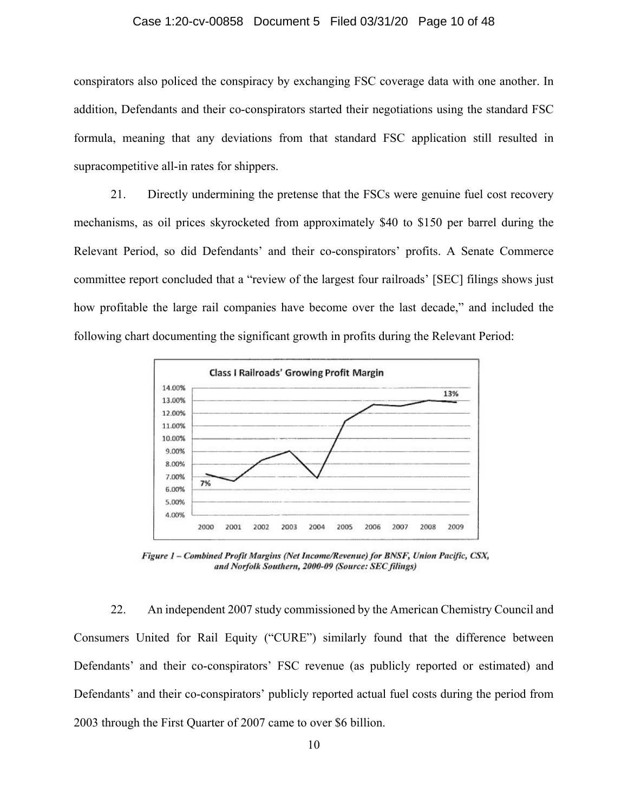#### Case 1:20-cv-00858 Document 5 Filed 03/31/20 Page 10 of 48

conspirators also policed the conspiracy by exchanging FSC coverage data with one another. In addition, Defendants and their co-conspirators started their negotiations using the standard FSC formula, meaning that any deviations from that standard FSC application still resulted in supracompetitive all-in rates for shippers.

21. Directly undermining the pretense that the FSCs were genuine fuel cost recovery mechanisms, as oil prices skyrocketed from approximately \$40 to \$150 per barrel during the Relevant Period, so did Defendants' and their co-conspirators' profits. A Senate Commerce committee report concluded that a "review of the largest four railroads' [SEC] filings shows just how profitable the large rail companies have become over the last decade," and included the following chart documenting the significant growth in profits during the Relevant Period:



Figure 1 - Combined Profit Margins (Net Income/Revenue) for BNSF, Union Pacific, CSX, and Norfolk Southern, 2000-09 (Source: SEC filings)

22. An independent 2007 study commissioned by the American Chemistry Council and Consumers United for Rail Equity ("CURE") similarly found that the difference between Defendants' and their co-conspirators' FSC revenue (as publicly reported or estimated) and Defendants' and their co-conspirators' publicly reported actual fuel costs during the period from 2003 through the First Quarter of 2007 came to over \$6 billion.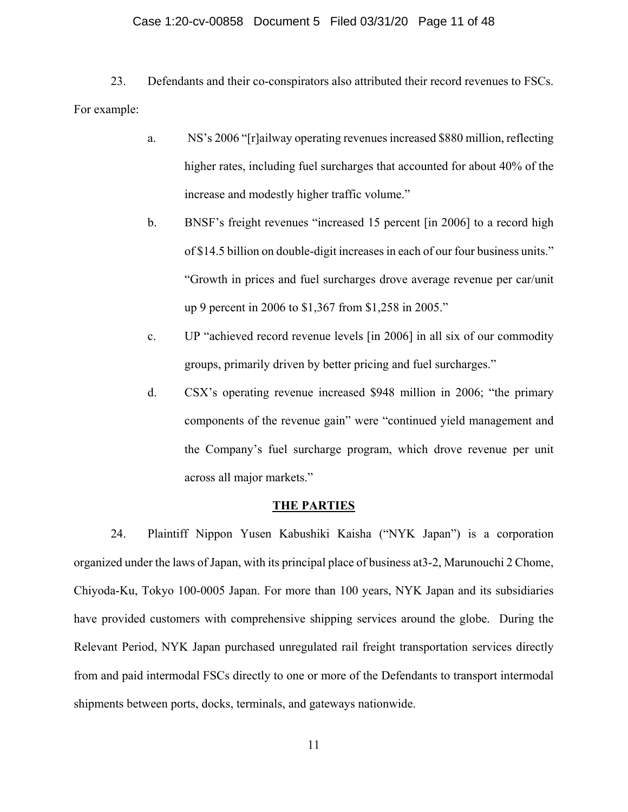#### Case 1:20-cv-00858 Document 5 Filed 03/31/20 Page 11 of 48

23. Defendants and their co-conspirators also attributed their record revenues to FSCs. For example:

- a. NS's 2006 "[r]ailway operating revenues increased \$880 million, reflecting higher rates, including fuel surcharges that accounted for about 40% of the increase and modestly higher traffic volume."
- b. BNSF's freight revenues "increased 15 percent [in 2006] to a record high of \$14.5 billion on double-digit increases in each of our four business units." "Growth in prices and fuel surcharges drove average revenue per car/unit up 9 percent in 2006 to \$1,367 from \$1,258 in 2005."
- c. UP "achieved record revenue levels [in 2006] in all six of our commodity groups, primarily driven by better pricing and fuel surcharges."
- d. CSX's operating revenue increased \$948 million in 2006; "the primary components of the revenue gain" were "continued yield management and the Company's fuel surcharge program, which drove revenue per unit across all major markets."

#### **THE PARTIES**

24. Plaintiff Nippon Yusen Kabushiki Kaisha ("NYK Japan") is a corporation organized under the laws of Japan, with its principal place of business at3-2, Marunouchi 2 Chome, Chiyoda-Ku, Tokyo 100-0005 Japan. For more than 100 years, NYK Japan and its subsidiaries have provided customers with comprehensive shipping services around the globe. During the Relevant Period, NYK Japan purchased unregulated rail freight transportation services directly from and paid intermodal FSCs directly to one or more of the Defendants to transport intermodal shipments between ports, docks, terminals, and gateways nationwide.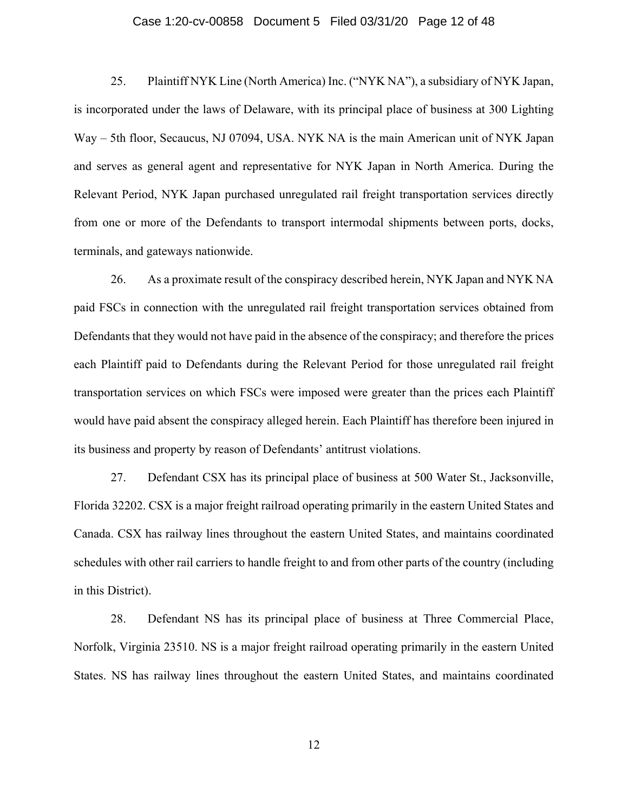#### Case 1:20-cv-00858 Document 5 Filed 03/31/20 Page 12 of 48

25. Plaintiff NYK Line (North America) Inc. ("NYK NA"), a subsidiary of NYK Japan, is incorporated under the laws of Delaware, with its principal place of business at 300 Lighting Way – 5th floor, Secaucus, NJ 07094, USA. NYK NA is the main American unit of NYK Japan and serves as general agent and representative for NYK Japan in North America. During the Relevant Period, NYK Japan purchased unregulated rail freight transportation services directly from one or more of the Defendants to transport intermodal shipments between ports, docks, terminals, and gateways nationwide.

26. As a proximate result of the conspiracy described herein, NYK Japan and NYK NA paid FSCs in connection with the unregulated rail freight transportation services obtained from Defendants that they would not have paid in the absence of the conspiracy; and therefore the prices each Plaintiff paid to Defendants during the Relevant Period for those unregulated rail freight transportation services on which FSCs were imposed were greater than the prices each Plaintiff would have paid absent the conspiracy alleged herein. Each Plaintiff has therefore been injured in its business and property by reason of Defendants' antitrust violations.

27. Defendant CSX has its principal place of business at 500 Water St., Jacksonville, Florida 32202. CSX is a major freight railroad operating primarily in the eastern United States and Canada. CSX has railway lines throughout the eastern United States, and maintains coordinated schedules with other rail carriers to handle freight to and from other parts of the country (including in this District).

28. Defendant NS has its principal place of business at Three Commercial Place, Norfolk, Virginia 23510. NS is a major freight railroad operating primarily in the eastern United States. NS has railway lines throughout the eastern United States, and maintains coordinated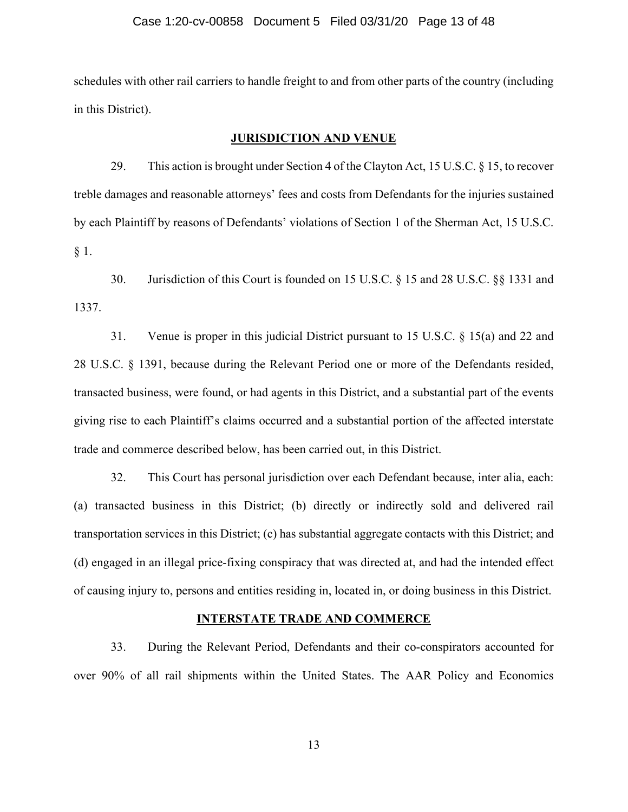#### Case 1:20-cv-00858 Document 5 Filed 03/31/20 Page 13 of 48

schedules with other rail carriers to handle freight to and from other parts of the country (including in this District).

#### **JURISDICTION AND VENUE**

29. This action is brought under Section 4 of the Clayton Act, 15 U.S.C. § 15, to recover treble damages and reasonable attorneys' fees and costs from Defendants for the injuries sustained by each Plaintiff by reasons of Defendants' violations of Section 1 of the Sherman Act, 15 U.S.C. § 1.

30. Jurisdiction of this Court is founded on 15 U.S.C. § 15 and 28 U.S.C. §§ 1331 and 1337.

31. Venue is proper in this judicial District pursuant to 15 U.S.C. § 15(a) and 22 and 28 U.S.C. § 1391, because during the Relevant Period one or more of the Defendants resided, transacted business, were found, or had agents in this District, and a substantial part of the events giving rise to each Plaintiff's claims occurred and a substantial portion of the affected interstate trade and commerce described below, has been carried out, in this District.

32. This Court has personal jurisdiction over each Defendant because, inter alia, each: (a) transacted business in this District; (b) directly or indirectly sold and delivered rail transportation services in this District; (c) has substantial aggregate contacts with this District; and (d) engaged in an illegal price-fixing conspiracy that was directed at, and had the intended effect of causing injury to, persons and entities residing in, located in, or doing business in this District.

#### **INTERSTATE TRADE AND COMMERCE**

33. During the Relevant Period, Defendants and their co-conspirators accounted for over 90% of all rail shipments within the United States. The AAR Policy and Economics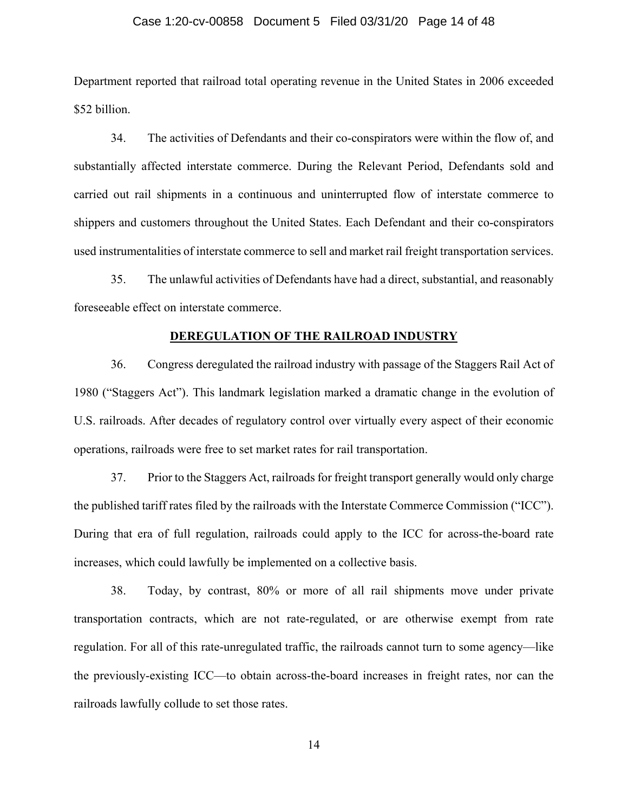# Case 1:20-cv-00858 Document 5 Filed 03/31/20 Page 14 of 48

Department reported that railroad total operating revenue in the United States in 2006 exceeded \$52 billion.

34. The activities of Defendants and their co-conspirators were within the flow of, and substantially affected interstate commerce. During the Relevant Period, Defendants sold and carried out rail shipments in a continuous and uninterrupted flow of interstate commerce to shippers and customers throughout the United States. Each Defendant and their co-conspirators used instrumentalities of interstate commerce to sell and market rail freight transportation services.

35. The unlawful activities of Defendants have had a direct, substantial, and reasonably foreseeable effect on interstate commerce.

#### **DEREGULATION OF THE RAILROAD INDUSTRY**

36. Congress deregulated the railroad industry with passage of the Staggers Rail Act of 1980 ("Staggers Act"). This landmark legislation marked a dramatic change in the evolution of U.S. railroads. After decades of regulatory control over virtually every aspect of their economic operations, railroads were free to set market rates for rail transportation.

37. Prior to the Staggers Act, railroads for freight transport generally would only charge the published tariff rates filed by the railroads with the Interstate Commerce Commission ("ICC"). During that era of full regulation, railroads could apply to the ICC for across-the-board rate increases, which could lawfully be implemented on a collective basis.

38. Today, by contrast, 80% or more of all rail shipments move under private transportation contracts, which are not rate-regulated, or are otherwise exempt from rate regulation. For all of this rate-unregulated traffic, the railroads cannot turn to some agency—like the previously-existing ICC—to obtain across-the-board increases in freight rates, nor can the railroads lawfully collude to set those rates.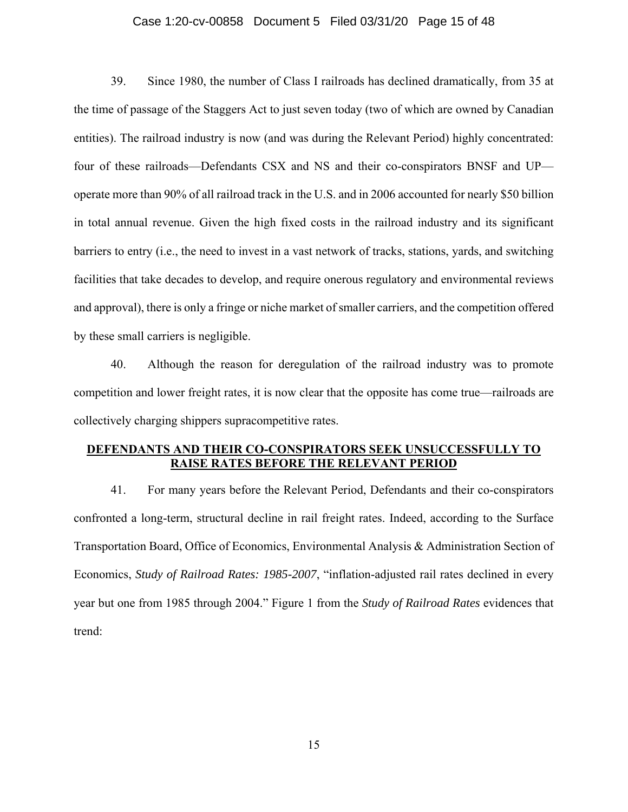#### Case 1:20-cv-00858 Document 5 Filed 03/31/20 Page 15 of 48

39. Since 1980, the number of Class I railroads has declined dramatically, from 35 at the time of passage of the Staggers Act to just seven today (two of which are owned by Canadian entities). The railroad industry is now (and was during the Relevant Period) highly concentrated: four of these railroads—Defendants CSX and NS and their co-conspirators BNSF and UP operate more than 90% of all railroad track in the U.S. and in 2006 accounted for nearly \$50 billion in total annual revenue. Given the high fixed costs in the railroad industry and its significant barriers to entry (i.e., the need to invest in a vast network of tracks, stations, yards, and switching facilities that take decades to develop, and require onerous regulatory and environmental reviews and approval), there is only a fringe or niche market of smaller carriers, and the competition offered by these small carriers is negligible.

40. Although the reason for deregulation of the railroad industry was to promote competition and lower freight rates, it is now clear that the opposite has come true—railroads are collectively charging shippers supracompetitive rates.

# **DEFENDANTS AND THEIR CO-CONSPIRATORS SEEK UNSUCCESSFULLY TO RAISE RATES BEFORE THE RELEVANT PERIOD**

41. For many years before the Relevant Period, Defendants and their co-conspirators confronted a long-term, structural decline in rail freight rates. Indeed, according to the Surface Transportation Board, Office of Economics, Environmental Analysis & Administration Section of Economics, *Study of Railroad Rates: 1985-2007*, "inflation-adjusted rail rates declined in every year but one from 1985 through 2004." Figure 1 from the *Study of Railroad Rates* evidences that trend: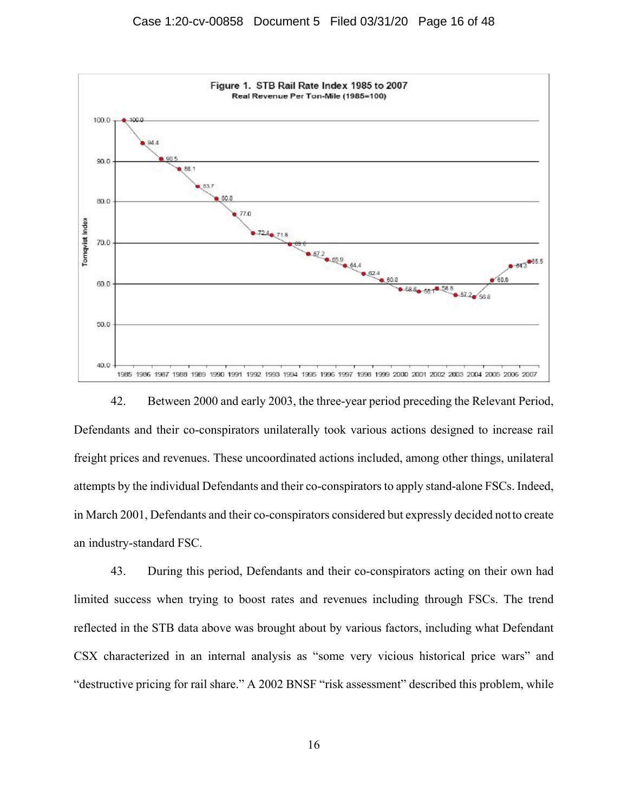

42. Between 2000 and early 2003, the three-year period preceding the Relevant Period, Defendants and their co-conspirators unilaterally took various actions designed to increase rail freight prices and revenues. These uncoordinated actions included, among other things, unilateral attempts by the individual Defendants and their co-conspirators to apply stand-alone FSCs. Indeed, in March 2001, Defendants and their co-conspirators considered but expressly decided not to create an industry-standard FSC.

43. During this period, Defendants and their co-conspirators acting on their own had limited success when trying to boost rates and revenues including through FSCs. The trend reflected in the STB data above was brought about by various factors, including what Defendant CSX characterized in an internal analysis as "some very vicious historical price wars" and "destructive pricing for rail share." A 2002 BNSF "risk assessment" described this problem, while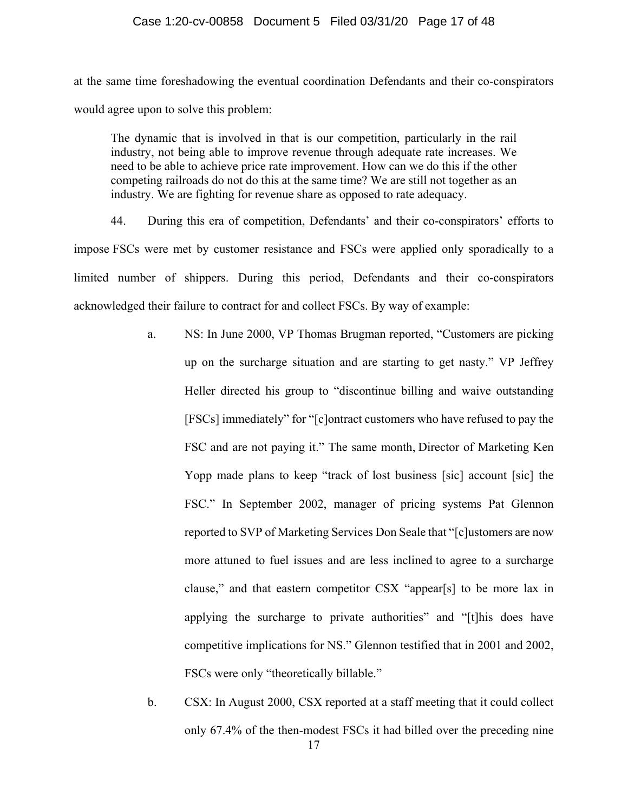## Case 1:20-cv-00858 Document 5 Filed 03/31/20 Page 17 of 48

at the same time foreshadowing the eventual coordination Defendants and their co-conspirators would agree upon to solve this problem:

The dynamic that is involved in that is our competition, particularly in the rail industry, not being able to improve revenue through adequate rate increases. We need to be able to achieve price rate improvement. How can we do this if the other competing railroads do not do this at the same time? We are still not together as an industry. We are fighting for revenue share as opposed to rate adequacy.

44. During this era of competition, Defendants' and their co-conspirators' efforts to impose FSCs were met by customer resistance and FSCs were applied only sporadically to a limited number of shippers. During this period, Defendants and their co-conspirators acknowledged their failure to contract for and collect FSCs. By way of example:

- a. NS: In June 2000, VP Thomas Brugman reported, "Customers are picking up on the surcharge situation and are starting to get nasty." VP Jeffrey Heller directed his group to "discontinue billing and waive outstanding [FSCs] immediately" for "[c]ontract customers who have refused to pay the FSC and are not paying it." The same month, Director of Marketing Ken Yopp made plans to keep "track of lost business [sic] account [sic] the FSC." In September 2002, manager of pricing systems Pat Glennon reported to SVP of Marketing Services Don Seale that "[c]ustomers are now more attuned to fuel issues and are less inclined to agree to a surcharge clause," and that eastern competitor CSX "appear[s] to be more lax in applying the surcharge to private authorities" and "[t]his does have competitive implications for NS." Glennon testified that in 2001 and 2002, FSCs were only "theoretically billable."
- b. CSX: In August 2000, CSX reported at a staff meeting that it could collect only 67.4% of the then-modest FSCs it had billed over the preceding nine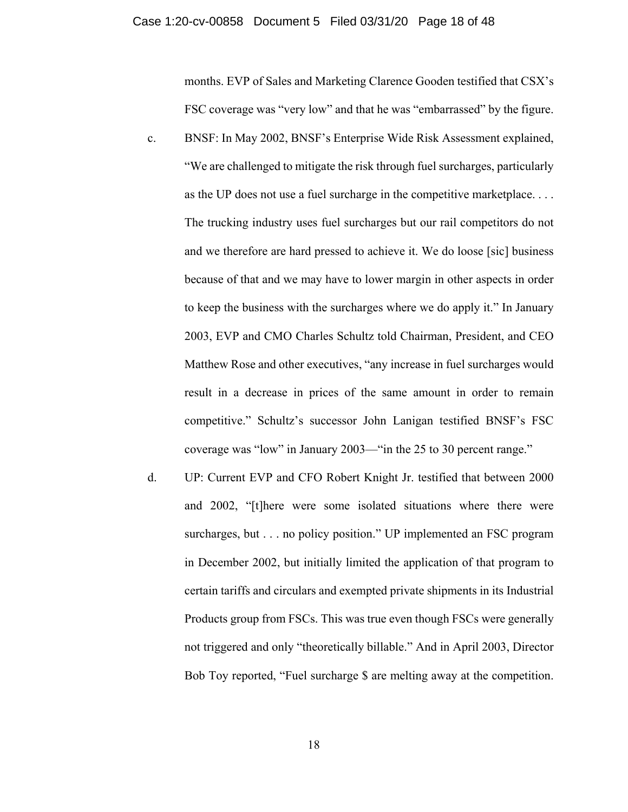months. EVP of Sales and Marketing Clarence Gooden testified that CSX's FSC coverage was "very low" and that he was "embarrassed" by the figure.

- c. BNSF: In May 2002, BNSF's Enterprise Wide Risk Assessment explained, "We are challenged to mitigate the risk through fuel surcharges, particularly as the UP does not use a fuel surcharge in the competitive marketplace. . . . The trucking industry uses fuel surcharges but our rail competitors do not and we therefore are hard pressed to achieve it. We do loose [sic] business because of that and we may have to lower margin in other aspects in order to keep the business with the surcharges where we do apply it." In January 2003, EVP and CMO Charles Schultz told Chairman, President, and CEO Matthew Rose and other executives, "any increase in fuel surcharges would result in a decrease in prices of the same amount in order to remain competitive." Schultz's successor John Lanigan testified BNSF's FSC coverage was "low" in January 2003—"in the 25 to 30 percent range."
- d. UP: Current EVP and CFO Robert Knight Jr. testified that between 2000 and 2002, "[t]here were some isolated situations where there were surcharges, but . . . no policy position." UP implemented an FSC program in December 2002, but initially limited the application of that program to certain tariffs and circulars and exempted private shipments in its Industrial Products group from FSCs. This was true even though FSCs were generally not triggered and only "theoretically billable." And in April 2003, Director Bob Toy reported, "Fuel surcharge \$ are melting away at the competition.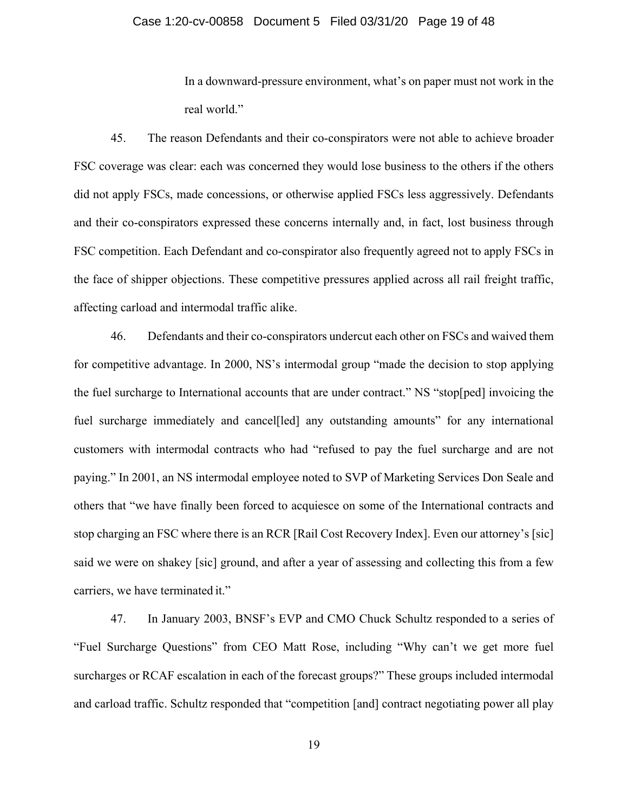# Case 1:20-cv-00858 Document 5 Filed 03/31/20 Page 19 of 48

In a downward-pressure environment, what's on paper must not work in the real world."

45. The reason Defendants and their co-conspirators were not able to achieve broader FSC coverage was clear: each was concerned they would lose business to the others if the others did not apply FSCs, made concessions, or otherwise applied FSCs less aggressively. Defendants and their co-conspirators expressed these concerns internally and, in fact, lost business through FSC competition. Each Defendant and co-conspirator also frequently agreed not to apply FSCs in the face of shipper objections. These competitive pressures applied across all rail freight traffic, affecting carload and intermodal traffic alike.

46. Defendants and their co-conspirators undercut each other on FSCs and waived them for competitive advantage. In 2000, NS's intermodal group "made the decision to stop applying the fuel surcharge to International accounts that are under contract." NS "stop[ped] invoicing the fuel surcharge immediately and cancel[led] any outstanding amounts" for any international customers with intermodal contracts who had "refused to pay the fuel surcharge and are not paying." In 2001, an NS intermodal employee noted to SVP of Marketing Services Don Seale and others that "we have finally been forced to acquiesce on some of the International contracts and stop charging an FSC where there is an RCR [Rail Cost Recovery Index]. Even our attorney's [sic] said we were on shakey [sic] ground, and after a year of assessing and collecting this from a few carriers, we have terminated it."

47. In January 2003, BNSF's EVP and CMO Chuck Schultz responded to a series of "Fuel Surcharge Questions" from CEO Matt Rose, including "Why can't we get more fuel surcharges or RCAF escalation in each of the forecast groups?" These groups included intermodal and carload traffic. Schultz responded that "competition [and] contract negotiating power all play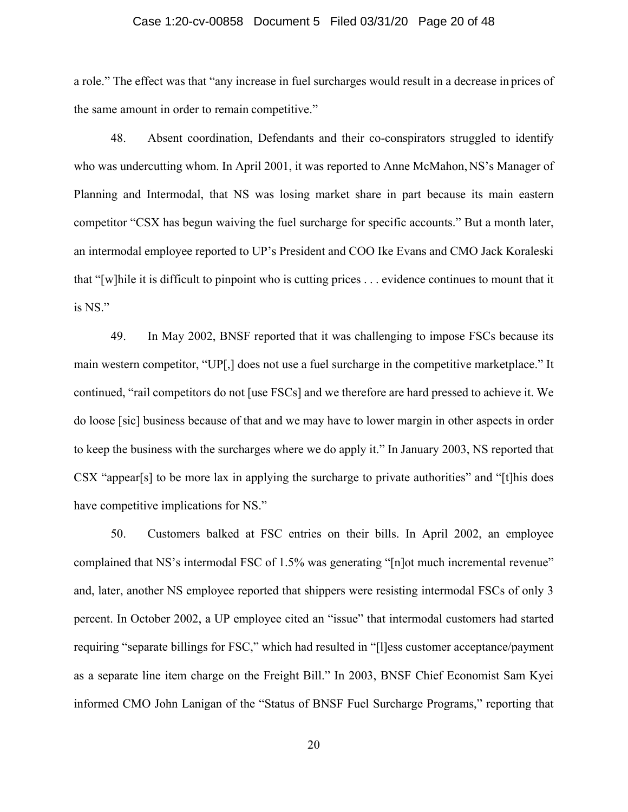# Case 1:20-cv-00858 Document 5 Filed 03/31/20 Page 20 of 48

a role." The effect was that "any increase in fuel surcharges would result in a decrease in prices of the same amount in order to remain competitive."

48. Absent coordination, Defendants and their co-conspirators struggled to identify who was undercutting whom. In April 2001, it was reported to Anne McMahon, NS's Manager of Planning and Intermodal, that NS was losing market share in part because its main eastern competitor "CSX has begun waiving the fuel surcharge for specific accounts." But a month later, an intermodal employee reported to UP's President and COO Ike Evans and CMO Jack Koraleski that "[w]hile it is difficult to pinpoint who is cutting prices . . . evidence continues to mount that it is NS."

49. In May 2002, BNSF reported that it was challenging to impose FSCs because its main western competitor, "UP[,] does not use a fuel surcharge in the competitive marketplace." It continued, "rail competitors do not [use FSCs] and we therefore are hard pressed to achieve it. We do loose [sic] business because of that and we may have to lower margin in other aspects in order to keep the business with the surcharges where we do apply it." In January 2003, NS reported that CSX "appear[s] to be more lax in applying the surcharge to private authorities" and "[t]his does have competitive implications for NS."

50. Customers balked at FSC entries on their bills. In April 2002, an employee complained that NS's intermodal FSC of 1.5% was generating "[n]ot much incremental revenue" and, later, another NS employee reported that shippers were resisting intermodal FSCs of only 3 percent. In October 2002, a UP employee cited an "issue" that intermodal customers had started requiring "separate billings for FSC," which had resulted in "[l]ess customer acceptance/payment as a separate line item charge on the Freight Bill." In 2003, BNSF Chief Economist Sam Kyei informed CMO John Lanigan of the "Status of BNSF Fuel Surcharge Programs," reporting that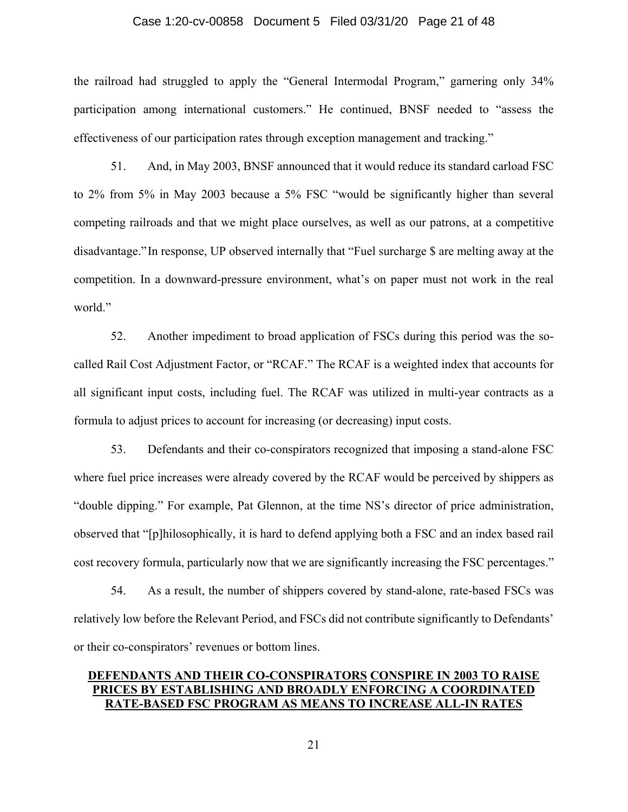# Case 1:20-cv-00858 Document 5 Filed 03/31/20 Page 21 of 48

the railroad had struggled to apply the "General Intermodal Program," garnering only 34% participation among international customers." He continued, BNSF needed to "assess the effectiveness of our participation rates through exception management and tracking."

51. And, in May 2003, BNSF announced that it would reduce its standard carload FSC to 2% from 5% in May 2003 because a 5% FSC "would be significantly higher than several competing railroads and that we might place ourselves, as well as our patrons, at a competitive disadvantage." In response, UP observed internally that "Fuel surcharge \$ are melting away at the competition. In a downward-pressure environment, what's on paper must not work in the real world."

52. Another impediment to broad application of FSCs during this period was the socalled Rail Cost Adjustment Factor, or "RCAF." The RCAF is a weighted index that accounts for all significant input costs, including fuel. The RCAF was utilized in multi-year contracts as a formula to adjust prices to account for increasing (or decreasing) input costs.

53. Defendants and their co-conspirators recognized that imposing a stand-alone FSC where fuel price increases were already covered by the RCAF would be perceived by shippers as "double dipping." For example, Pat Glennon, at the time NS's director of price administration, observed that "[p]hilosophically, it is hard to defend applying both a FSC and an index based rail cost recovery formula, particularly now that we are significantly increasing the FSC percentages."

54. As a result, the number of shippers covered by stand-alone, rate-based FSCs was relatively low before the Relevant Period, and FSCs did not contribute significantly to Defendants' or their co-conspirators' revenues or bottom lines.

# **DEFENDANTS AND THEIR CO-CONSPIRATORS CONSPIRE IN 2003 TO RAISE PRICES BY ESTABLISHING AND BROADLY ENFORCING A COORDINATED RATE-BASED FSC PROGRAM AS MEANS TO INCREASE ALL-IN RATES**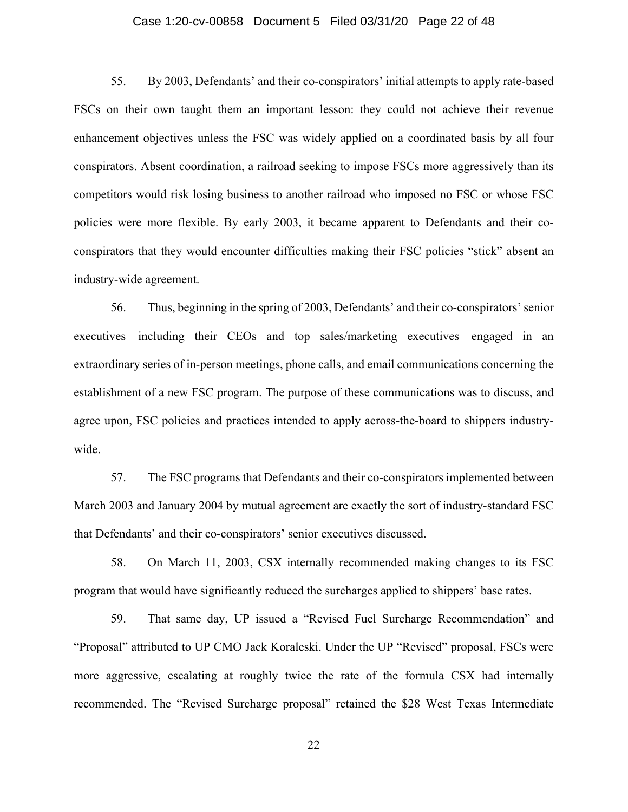# Case 1:20-cv-00858 Document 5 Filed 03/31/20 Page 22 of 48

55. By 2003, Defendants' and their co-conspirators' initial attempts to apply rate-based FSCs on their own taught them an important lesson: they could not achieve their revenue enhancement objectives unless the FSC was widely applied on a coordinated basis by all four conspirators. Absent coordination, a railroad seeking to impose FSCs more aggressively than its competitors would risk losing business to another railroad who imposed no FSC or whose FSC policies were more flexible. By early 2003, it became apparent to Defendants and their coconspirators that they would encounter difficulties making their FSC policies "stick" absent an industry-wide agreement.

56. Thus, beginning in the spring of 2003, Defendants' and their co-conspirators' senior executives—including their CEOs and top sales/marketing executives—engaged in an extraordinary series of in-person meetings, phone calls, and email communications concerning the establishment of a new FSC program. The purpose of these communications was to discuss, and agree upon, FSC policies and practices intended to apply across-the-board to shippers industrywide.

57. The FSC programs that Defendants and their co-conspirators implemented between March 2003 and January 2004 by mutual agreement are exactly the sort of industry-standard FSC that Defendants' and their co-conspirators' senior executives discussed.

58. On March 11, 2003, CSX internally recommended making changes to its FSC program that would have significantly reduced the surcharges applied to shippers' base rates.

59. That same day, UP issued a "Revised Fuel Surcharge Recommendation" and "Proposal" attributed to UP CMO Jack Koraleski. Under the UP "Revised" proposal, FSCs were more aggressive, escalating at roughly twice the rate of the formula CSX had internally recommended. The "Revised Surcharge proposal" retained the \$28 West Texas Intermediate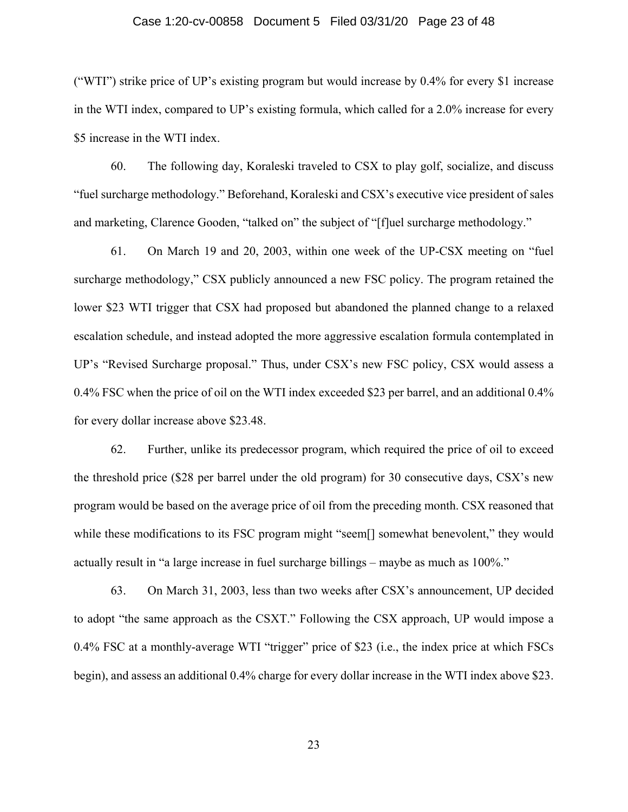#### Case 1:20-cv-00858 Document 5 Filed 03/31/20 Page 23 of 48

("WTI") strike price of UP's existing program but would increase by 0.4% for every \$1 increase in the WTI index, compared to UP's existing formula, which called for a 2.0% increase for every \$5 increase in the WTI index.

60. The following day, Koraleski traveled to CSX to play golf, socialize, and discuss "fuel surcharge methodology." Beforehand, Koraleski and CSX's executive vice president of sales and marketing, Clarence Gooden, "talked on" the subject of "[f]uel surcharge methodology."

61. On March 19 and 20, 2003, within one week of the UP-CSX meeting on "fuel surcharge methodology," CSX publicly announced a new FSC policy. The program retained the lower \$23 WTI trigger that CSX had proposed but abandoned the planned change to a relaxed escalation schedule, and instead adopted the more aggressive escalation formula contemplated in UP's "Revised Surcharge proposal." Thus, under CSX's new FSC policy, CSX would assess a 0.4% FSC when the price of oil on the WTI index exceeded \$23 per barrel, and an additional 0.4% for every dollar increase above \$23.48.

62. Further, unlike its predecessor program, which required the price of oil to exceed the threshold price (\$28 per barrel under the old program) for 30 consecutive days, CSX's new program would be based on the average price of oil from the preceding month. CSX reasoned that while these modifications to its FSC program might "seem[] somewhat benevolent," they would actually result in "a large increase in fuel surcharge billings – maybe as much as 100%."

63. On March 31, 2003, less than two weeks after CSX's announcement, UP decided to adopt "the same approach as the CSXT." Following the CSX approach, UP would impose a 0.4% FSC at a monthly-average WTI "trigger" price of \$23 (i.e., the index price at which FSCs begin), and assess an additional 0.4% charge for every dollar increase in the WTI index above \$23.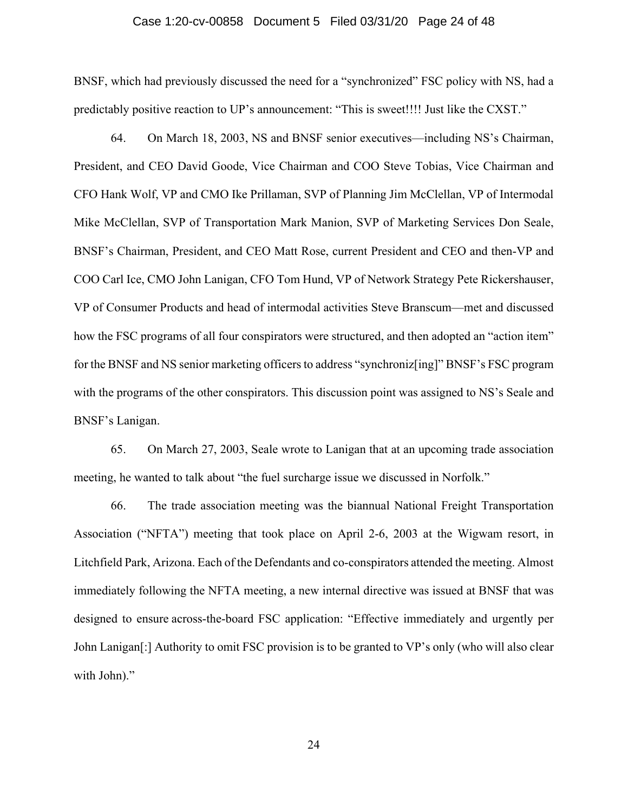#### Case 1:20-cv-00858 Document 5 Filed 03/31/20 Page 24 of 48

BNSF, which had previously discussed the need for a "synchronized" FSC policy with NS, had a predictably positive reaction to UP's announcement: "This is sweet!!!! Just like the CXST."

64. On March 18, 2003, NS and BNSF senior executives—including NS's Chairman, President, and CEO David Goode, Vice Chairman and COO Steve Tobias, Vice Chairman and CFO Hank Wolf, VP and CMO Ike Prillaman, SVP of Planning Jim McClellan, VP of Intermodal Mike McClellan, SVP of Transportation Mark Manion, SVP of Marketing Services Don Seale, BNSF's Chairman, President, and CEO Matt Rose, current President and CEO and then-VP and COO Carl Ice, CMO John Lanigan, CFO Tom Hund, VP of Network Strategy Pete Rickershauser, VP of Consumer Products and head of intermodal activities Steve Branscum—met and discussed how the FSC programs of all four conspirators were structured, and then adopted an "action item" for the BNSF and NS senior marketing officers to address "synchroniz[ing]" BNSF's FSC program with the programs of the other conspirators. This discussion point was assigned to NS's Seale and BNSF's Lanigan.

65. On March 27, 2003, Seale wrote to Lanigan that at an upcoming trade association meeting, he wanted to talk about "the fuel surcharge issue we discussed in Norfolk."

66. The trade association meeting was the biannual National Freight Transportation Association ("NFTA") meeting that took place on April 2-6, 2003 at the Wigwam resort, in Litchfield Park, Arizona. Each of the Defendants and co-conspirators attended the meeting. Almost immediately following the NFTA meeting, a new internal directive was issued at BNSF that was designed to ensure across-the-board FSC application: "Effective immediately and urgently per John Lanigan[:] Authority to omit FSC provision is to be granted to VP's only (who will also clear with John)."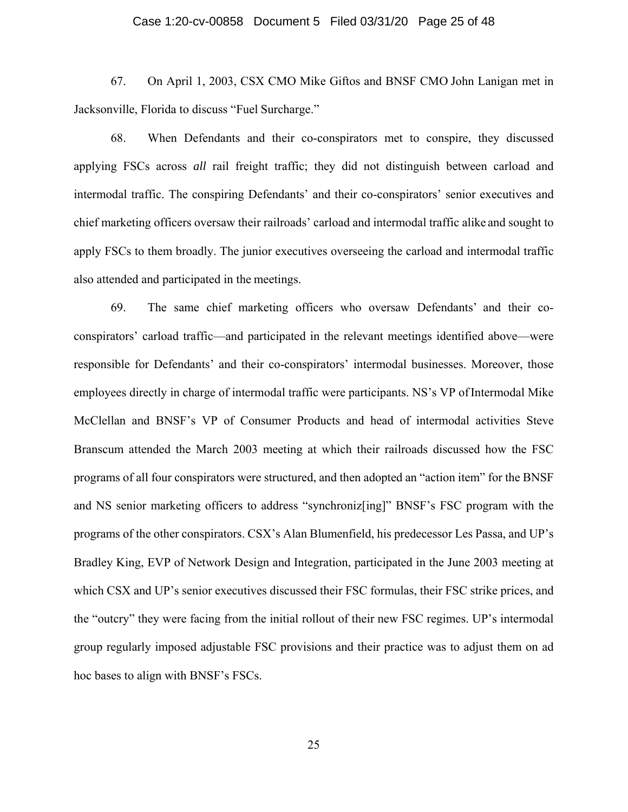# Case 1:20-cv-00858 Document 5 Filed 03/31/20 Page 25 of 48

67. On April 1, 2003, CSX CMO Mike Giftos and BNSF CMO John Lanigan met in Jacksonville, Florida to discuss "Fuel Surcharge."

68. When Defendants and their co-conspirators met to conspire, they discussed applying FSCs across *all* rail freight traffic; they did not distinguish between carload and intermodal traffic. The conspiring Defendants' and their co-conspirators' senior executives and chief marketing officers oversaw their railroads' carload and intermodal traffic alike and sought to apply FSCs to them broadly. The junior executives overseeing the carload and intermodal traffic also attended and participated in the meetings.

69. The same chief marketing officers who oversaw Defendants' and their coconspirators' carload traffic—and participated in the relevant meetings identified above—were responsible for Defendants' and their co-conspirators' intermodal businesses. Moreover, those employees directly in charge of intermodal traffic were participants. NS's VP of Intermodal Mike McClellan and BNSF's VP of Consumer Products and head of intermodal activities Steve Branscum attended the March 2003 meeting at which their railroads discussed how the FSC programs of all four conspirators were structured, and then adopted an "action item" for the BNSF and NS senior marketing officers to address "synchroniz[ing]" BNSF's FSC program with the programs of the other conspirators. CSX's Alan Blumenfield, his predecessor Les Passa, and UP's Bradley King, EVP of Network Design and Integration, participated in the June 2003 meeting at which CSX and UP's senior executives discussed their FSC formulas, their FSC strike prices, and the "outcry" they were facing from the initial rollout of their new FSC regimes. UP's intermodal group regularly imposed adjustable FSC provisions and their practice was to adjust them on ad hoc bases to align with BNSF's FSCs.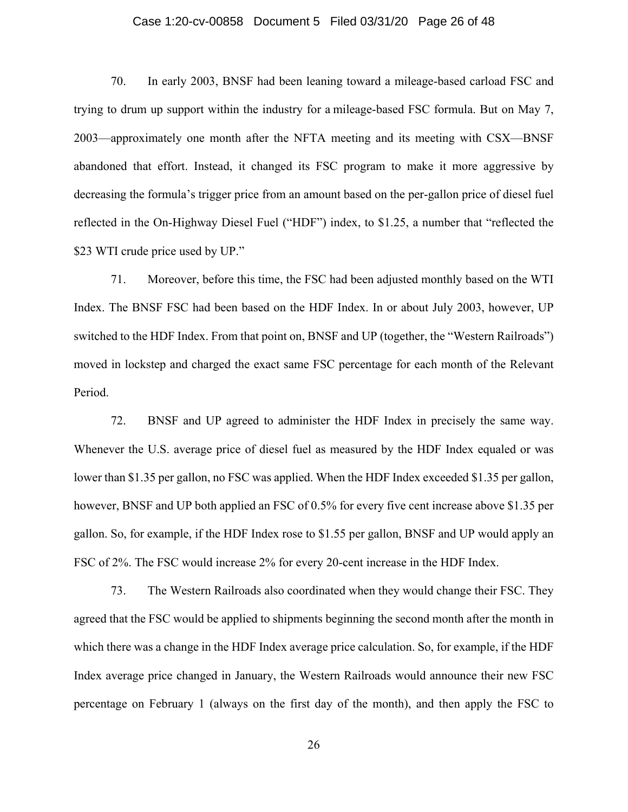#### Case 1:20-cv-00858 Document 5 Filed 03/31/20 Page 26 of 48

70. In early 2003, BNSF had been leaning toward a mileage-based carload FSC and trying to drum up support within the industry for a mileage-based FSC formula. But on May 7, 2003—approximately one month after the NFTA meeting and its meeting with CSX—BNSF abandoned that effort. Instead, it changed its FSC program to make it more aggressive by decreasing the formula's trigger price from an amount based on the per-gallon price of diesel fuel reflected in the On-Highway Diesel Fuel ("HDF") index, to \$1.25, a number that "reflected the \$23 WTI crude price used by UP."

71. Moreover, before this time, the FSC had been adjusted monthly based on the WTI Index. The BNSF FSC had been based on the HDF Index. In or about July 2003, however, UP switched to the HDF Index. From that point on, BNSF and UP (together, the "Western Railroads") moved in lockstep and charged the exact same FSC percentage for each month of the Relevant Period.

72. BNSF and UP agreed to administer the HDF Index in precisely the same way. Whenever the U.S. average price of diesel fuel as measured by the HDF Index equaled or was lower than \$1.35 per gallon, no FSC was applied. When the HDF Index exceeded \$1.35 per gallon, however, BNSF and UP both applied an FSC of 0.5% for every five cent increase above \$1.35 per gallon. So, for example, if the HDF Index rose to \$1.55 per gallon, BNSF and UP would apply an FSC of 2%. The FSC would increase 2% for every 20-cent increase in the HDF Index.

73. The Western Railroads also coordinated when they would change their FSC. They agreed that the FSC would be applied to shipments beginning the second month after the month in which there was a change in the HDF Index average price calculation. So, for example, if the HDF Index average price changed in January, the Western Railroads would announce their new FSC percentage on February 1 (always on the first day of the month), and then apply the FSC to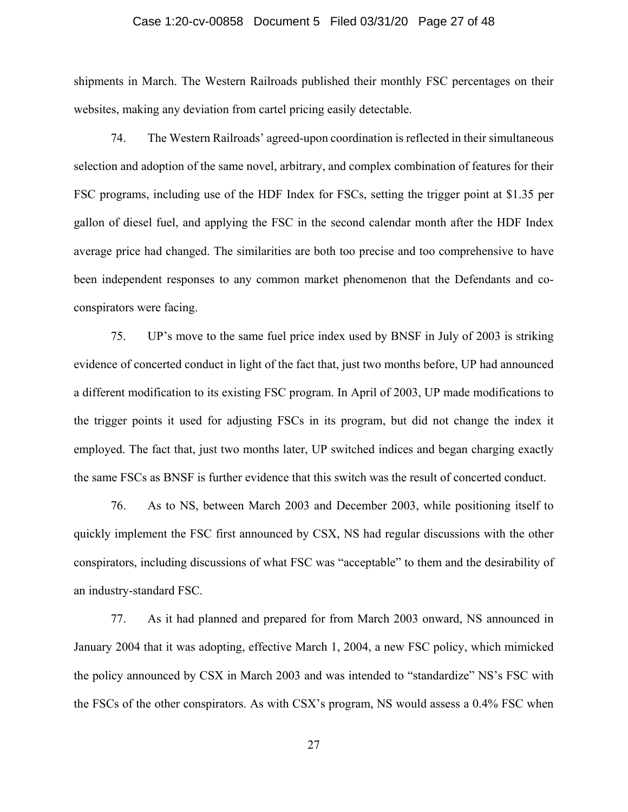# Case 1:20-cv-00858 Document 5 Filed 03/31/20 Page 27 of 48

shipments in March. The Western Railroads published their monthly FSC percentages on their websites, making any deviation from cartel pricing easily detectable.

74. The Western Railroads' agreed-upon coordination is reflected in their simultaneous selection and adoption of the same novel, arbitrary, and complex combination of features for their FSC programs, including use of the HDF Index for FSCs, setting the trigger point at \$1.35 per gallon of diesel fuel, and applying the FSC in the second calendar month after the HDF Index average price had changed. The similarities are both too precise and too comprehensive to have been independent responses to any common market phenomenon that the Defendants and coconspirators were facing.

75. UP's move to the same fuel price index used by BNSF in July of 2003 is striking evidence of concerted conduct in light of the fact that, just two months before, UP had announced a different modification to its existing FSC program. In April of 2003, UP made modifications to the trigger points it used for adjusting FSCs in its program, but did not change the index it employed. The fact that, just two months later, UP switched indices and began charging exactly the same FSCs as BNSF is further evidence that this switch was the result of concerted conduct.

76. As to NS, between March 2003 and December 2003, while positioning itself to quickly implement the FSC first announced by CSX, NS had regular discussions with the other conspirators, including discussions of what FSC was "acceptable" to them and the desirability of an industry-standard FSC.

77. As it had planned and prepared for from March 2003 onward, NS announced in January 2004 that it was adopting, effective March 1, 2004, a new FSC policy, which mimicked the policy announced by CSX in March 2003 and was intended to "standardize" NS's FSC with the FSCs of the other conspirators. As with CSX's program, NS would assess a 0.4% FSC when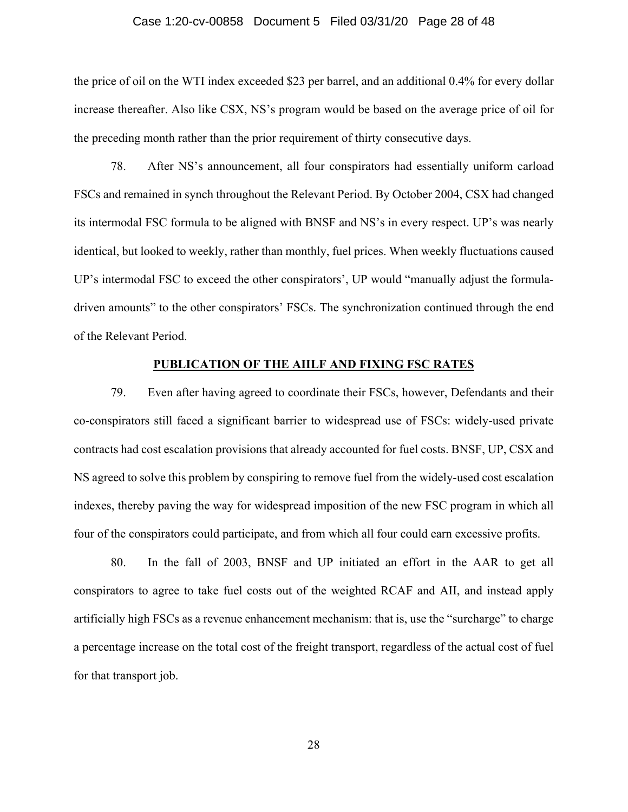#### Case 1:20-cv-00858 Document 5 Filed 03/31/20 Page 28 of 48

the price of oil on the WTI index exceeded \$23 per barrel, and an additional 0.4% for every dollar increase thereafter. Also like CSX, NS's program would be based on the average price of oil for the preceding month rather than the prior requirement of thirty consecutive days.

78. After NS's announcement, all four conspirators had essentially uniform carload FSCs and remained in synch throughout the Relevant Period. By October 2004, CSX had changed its intermodal FSC formula to be aligned with BNSF and NS's in every respect. UP's was nearly identical, but looked to weekly, rather than monthly, fuel prices. When weekly fluctuations caused UP's intermodal FSC to exceed the other conspirators', UP would "manually adjust the formuladriven amounts" to the other conspirators' FSCs. The synchronization continued through the end of the Relevant Period.

# **PUBLICATION OF THE AIILF AND FIXING FSC RATES**

79. Even after having agreed to coordinate their FSCs, however, Defendants and their co-conspirators still faced a significant barrier to widespread use of FSCs: widely-used private contracts had cost escalation provisions that already accounted for fuel costs. BNSF, UP, CSX and NS agreed to solve this problem by conspiring to remove fuel from the widely-used cost escalation indexes, thereby paving the way for widespread imposition of the new FSC program in which all four of the conspirators could participate, and from which all four could earn excessive profits.

80. In the fall of 2003, BNSF and UP initiated an effort in the AAR to get all conspirators to agree to take fuel costs out of the weighted RCAF and AII, and instead apply artificially high FSCs as a revenue enhancement mechanism: that is, use the "surcharge" to charge a percentage increase on the total cost of the freight transport, regardless of the actual cost of fuel for that transport job.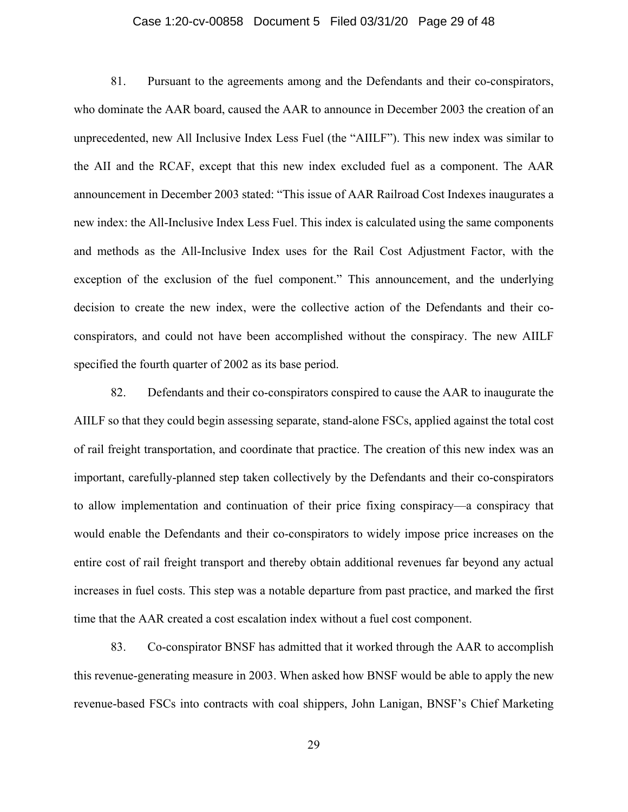#### Case 1:20-cv-00858 Document 5 Filed 03/31/20 Page 29 of 48

81. Pursuant to the agreements among and the Defendants and their co-conspirators, who dominate the AAR board, caused the AAR to announce in December 2003 the creation of an unprecedented, new All Inclusive Index Less Fuel (the "AIILF"). This new index was similar to the AII and the RCAF, except that this new index excluded fuel as a component. The AAR announcement in December 2003 stated: "This issue of AAR Railroad Cost Indexes inaugurates a new index: the All-Inclusive Index Less Fuel. This index is calculated using the same components and methods as the All-Inclusive Index uses for the Rail Cost Adjustment Factor, with the exception of the exclusion of the fuel component." This announcement, and the underlying decision to create the new index, were the collective action of the Defendants and their coconspirators, and could not have been accomplished without the conspiracy. The new AIILF specified the fourth quarter of 2002 as its base period.

82. Defendants and their co-conspirators conspired to cause the AAR to inaugurate the AIILF so that they could begin assessing separate, stand-alone FSCs, applied against the total cost of rail freight transportation, and coordinate that practice. The creation of this new index was an important, carefully-planned step taken collectively by the Defendants and their co-conspirators to allow implementation and continuation of their price fixing conspiracy—a conspiracy that would enable the Defendants and their co-conspirators to widely impose price increases on the entire cost of rail freight transport and thereby obtain additional revenues far beyond any actual increases in fuel costs. This step was a notable departure from past practice, and marked the first time that the AAR created a cost escalation index without a fuel cost component.

83. Co-conspirator BNSF has admitted that it worked through the AAR to accomplish this revenue-generating measure in 2003. When asked how BNSF would be able to apply the new revenue-based FSCs into contracts with coal shippers, John Lanigan, BNSF's Chief Marketing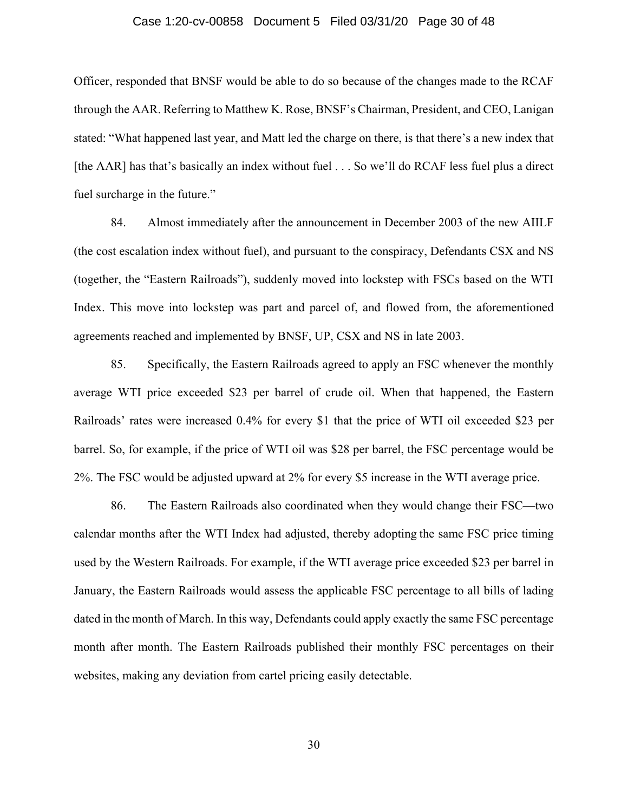#### Case 1:20-cv-00858 Document 5 Filed 03/31/20 Page 30 of 48

Officer, responded that BNSF would be able to do so because of the changes made to the RCAF through the AAR. Referring to Matthew K. Rose, BNSF's Chairman, President, and CEO, Lanigan stated: "What happened last year, and Matt led the charge on there, is that there's a new index that [the AAR] has that's basically an index without fuel . . . So we'll do RCAF less fuel plus a direct fuel surcharge in the future."

84. Almost immediately after the announcement in December 2003 of the new AIILF (the cost escalation index without fuel), and pursuant to the conspiracy, Defendants CSX and NS (together, the "Eastern Railroads"), suddenly moved into lockstep with FSCs based on the WTI Index. This move into lockstep was part and parcel of, and flowed from, the aforementioned agreements reached and implemented by BNSF, UP, CSX and NS in late 2003.

85. Specifically, the Eastern Railroads agreed to apply an FSC whenever the monthly average WTI price exceeded \$23 per barrel of crude oil. When that happened, the Eastern Railroads' rates were increased 0.4% for every \$1 that the price of WTI oil exceeded \$23 per barrel. So, for example, if the price of WTI oil was \$28 per barrel, the FSC percentage would be 2%. The FSC would be adjusted upward at 2% for every \$5 increase in the WTI average price.

86. The Eastern Railroads also coordinated when they would change their FSC—two calendar months after the WTI Index had adjusted, thereby adopting the same FSC price timing used by the Western Railroads. For example, if the WTI average price exceeded \$23 per barrel in January, the Eastern Railroads would assess the applicable FSC percentage to all bills of lading dated in the month of March. In this way, Defendants could apply exactly the same FSC percentage month after month. The Eastern Railroads published their monthly FSC percentages on their websites, making any deviation from cartel pricing easily detectable.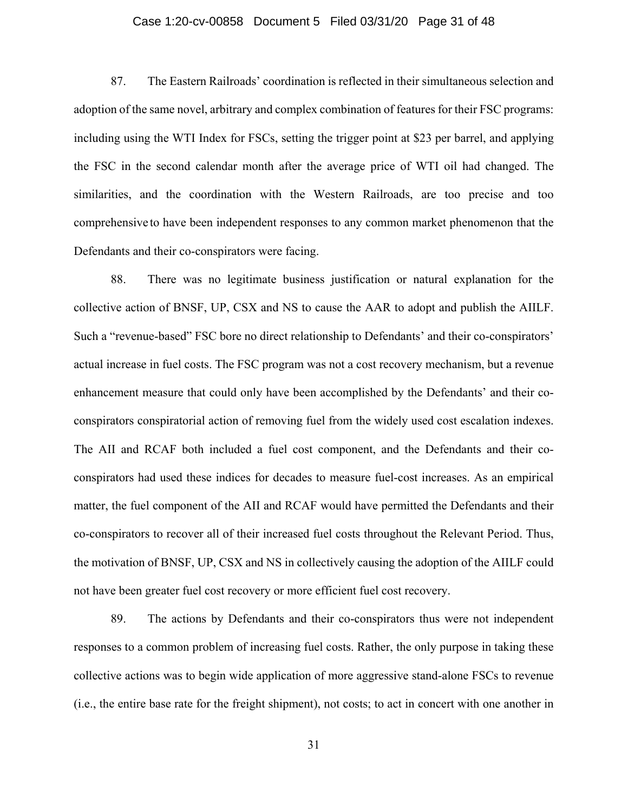# Case 1:20-cv-00858 Document 5 Filed 03/31/20 Page 31 of 48

87. The Eastern Railroads' coordination is reflected in their simultaneous selection and adoption of the same novel, arbitrary and complex combination of features for their FSC programs: including using the WTI Index for FSCs, setting the trigger point at \$23 per barrel, and applying the FSC in the second calendar month after the average price of WTI oil had changed. The similarities, and the coordination with the Western Railroads, are too precise and too comprehensive to have been independent responses to any common market phenomenon that the Defendants and their co-conspirators were facing.

88. There was no legitimate business justification or natural explanation for the collective action of BNSF, UP, CSX and NS to cause the AAR to adopt and publish the AIILF. Such a "revenue-based" FSC bore no direct relationship to Defendants' and their co-conspirators' actual increase in fuel costs. The FSC program was not a cost recovery mechanism, but a revenue enhancement measure that could only have been accomplished by the Defendants' and their coconspirators conspiratorial action of removing fuel from the widely used cost escalation indexes. The AII and RCAF both included a fuel cost component, and the Defendants and their coconspirators had used these indices for decades to measure fuel-cost increases. As an empirical matter, the fuel component of the AII and RCAF would have permitted the Defendants and their co-conspirators to recover all of their increased fuel costs throughout the Relevant Period. Thus, the motivation of BNSF, UP, CSX and NS in collectively causing the adoption of the AIILF could not have been greater fuel cost recovery or more efficient fuel cost recovery.

89. The actions by Defendants and their co-conspirators thus were not independent responses to a common problem of increasing fuel costs. Rather, the only purpose in taking these collective actions was to begin wide application of more aggressive stand-alone FSCs to revenue (i.e., the entire base rate for the freight shipment), not costs; to act in concert with one another in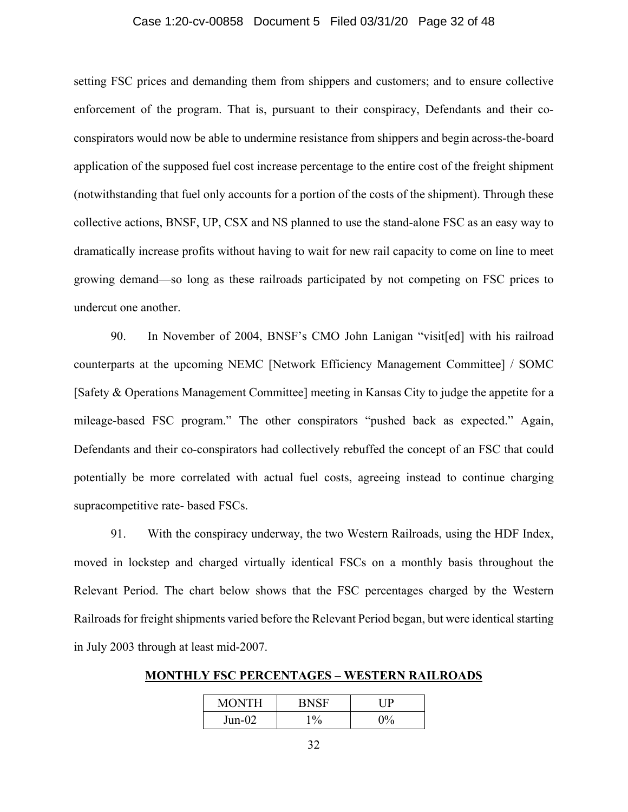#### Case 1:20-cv-00858 Document 5 Filed 03/31/20 Page 32 of 48

setting FSC prices and demanding them from shippers and customers; and to ensure collective enforcement of the program. That is, pursuant to their conspiracy, Defendants and their coconspirators would now be able to undermine resistance from shippers and begin across-the-board application of the supposed fuel cost increase percentage to the entire cost of the freight shipment (notwithstanding that fuel only accounts for a portion of the costs of the shipment). Through these collective actions, BNSF, UP, CSX and NS planned to use the stand-alone FSC as an easy way to dramatically increase profits without having to wait for new rail capacity to come on line to meet growing demand—so long as these railroads participated by not competing on FSC prices to undercut one another.

90. In November of 2004, BNSF's CMO John Lanigan "visit[ed] with his railroad counterparts at the upcoming NEMC [Network Efficiency Management Committee] / SOMC [Safety & Operations Management Committee] meeting in Kansas City to judge the appetite for a mileage-based FSC program." The other conspirators "pushed back as expected." Again, Defendants and their co-conspirators had collectively rebuffed the concept of an FSC that could potentially be more correlated with actual fuel costs, agreeing instead to continue charging supracompetitive rate- based FSCs.

91. With the conspiracy underway, the two Western Railroads, using the HDF Index, moved in lockstep and charged virtually identical FSCs on a monthly basis throughout the Relevant Period. The chart below shows that the FSC percentages charged by the Western Railroads for freight shipments varied before the Relevant Period began, but were identical starting in July 2003 through at least mid-2007.

**MONTHLY FSC PERCENTAGES – WESTERN RAILROADS** 

| MONTH    | JCE  |     |
|----------|------|-----|
| $Jun-02$ | l 0/ | 10. |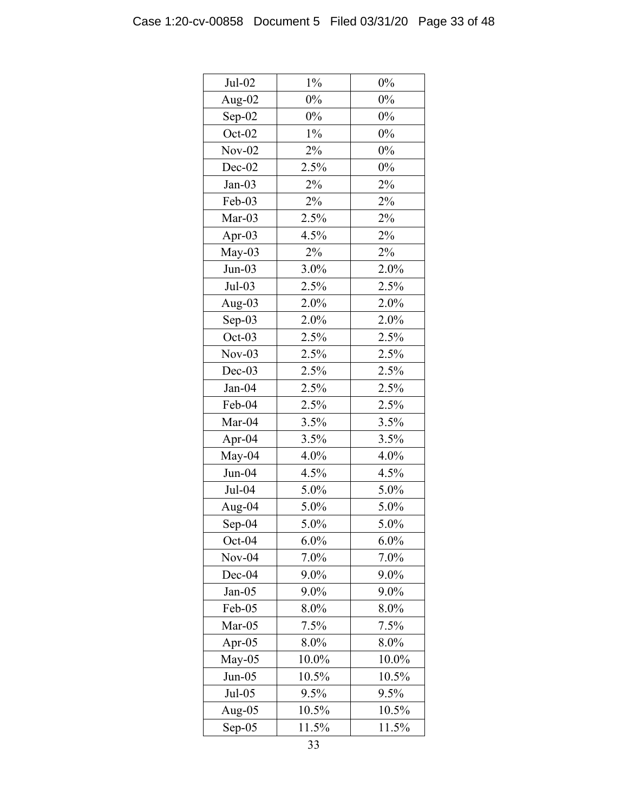| Jul-02    | $1\%$   | 0%      |
|-----------|---------|---------|
| Aug-02    | $0\%$   | $0\%$   |
| $Sep-02$  | 0%      | $0\%$   |
| Oct-02    | $1\%$   | $0\%$   |
| $Nov-02$  | $2\%$   | $0\%$   |
| Dec-02    | 2.5%    | $0\%$   |
| $Jan-03$  | 2%      | 2%      |
| Feb-03    | 2%      | 2%      |
| Mar-03    | 2.5%    | 2%      |
| Apr-03    | 4.5%    | $2\%$   |
| $May-03$  | $2\%$   | $2\%$   |
| $Jun-03$  | 3.0%    | 2.0%    |
| $Jul-03$  | 2.5%    | 2.5%    |
| Aug-03    | 2.0%    | 2.0%    |
| $Sep-03$  | 2.0%    | 2.0%    |
| $Oct-03$  | 2.5%    | 2.5%    |
| $Nov-03$  | 2.5%    | 2.5%    |
| Dec-03    | 2.5%    | 2.5%    |
| $Jan-04$  | 2.5%    | 2.5%    |
| Feb-04    | 2.5%    | 2.5%    |
| Mar-04    | 3.5%    | 3.5%    |
| Apr-04    | 3.5%    | 3.5%    |
| $May-04$  | 4.0%    | 4.0%    |
| $Jun-04$  | 4.5%    | 4.5%    |
| Jul-04    | 5.0%    | 5.0%    |
| Aug-04    | 5.0%    | 5.0%    |
| $Sep-04$  | 5.0%    | 5.0%    |
| $Oct-04$  | $6.0\%$ | $6.0\%$ |
| $Nov-04$  | 7.0%    | 7.0%    |
| Dec-04    | 9.0%    | 9.0%    |
| $Jan-05$  | 9.0%    | 9.0%    |
| Feb-05    | 8.0%    | 8.0%    |
| Mar-05    | 7.5%    | 7.5%    |
| Apr- $05$ | 8.0%    | 8.0%    |
| May-05    | 10.0%   | 10.0%   |
| $Jun-05$  | 10.5%   | 10.5%   |
| $Jul-05$  | 9.5%    | 9.5%    |
| Aug- $05$ | 10.5%   | 10.5%   |
| $Sep-05$  | 11.5%   | 11.5%   |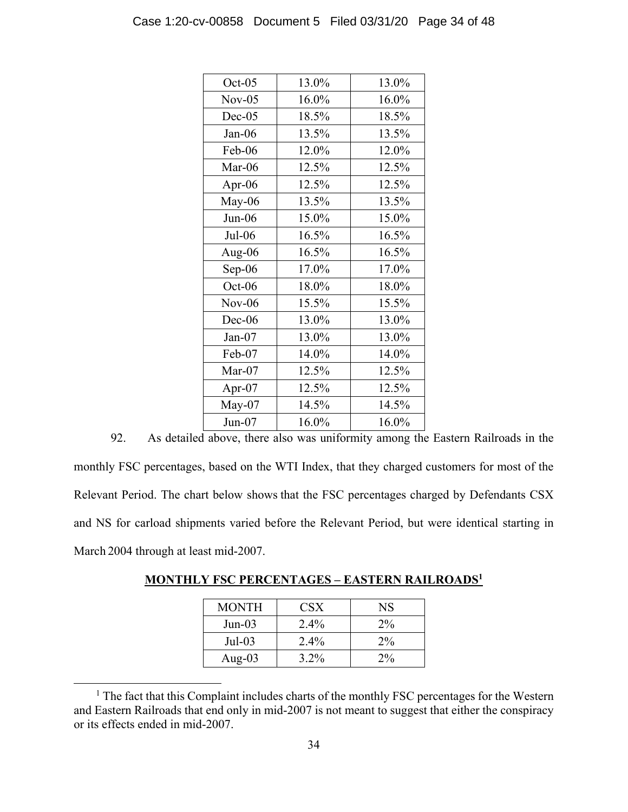| $Oct-05$ | 13.0% | 13.0% |
|----------|-------|-------|
| $Nov-05$ | 16.0% | 16.0% |
| $Dec-05$ | 18.5% | 18.5% |
| $Jan-06$ | 13.5% | 13.5% |
| Feb-06   | 12.0% | 12.0% |
| Mar-06   | 12.5% | 12.5% |
| Apr-06   | 12.5% | 12.5% |
| May-06   | 13.5% | 13.5% |
| $Jun-06$ | 15.0% | 15.0% |
| $Jul-06$ | 16.5% | 16.5% |
| Aug-06   | 16.5% | 16.5% |
| $Sep-06$ | 17.0% | 17.0% |
| Oct-06   | 18.0% | 18.0% |
| $Nov-06$ | 15.5% | 15.5% |
| Dec-06   | 13.0% | 13.0% |
| $Jan-07$ | 13.0% | 13.0% |
| Feb-07   | 14.0% | 14.0% |
| Mar-07   | 12.5% | 12.5% |
| Apr-07   | 12.5% | 12.5% |
| May-07   | 14.5% | 14.5% |
| $Jun-07$ | 16.0% | 16.0% |

92. As detailed above, there also was uniformity among the Eastern Railroads in the monthly FSC percentages, based on the WTI Index, that they charged customers for most of the Relevant Period. The chart below shows that the FSC percentages charged by Defendants CSX and NS for carload shipments varied before the Relevant Period, but were identical starting in March 2004 through at least mid-2007.

| <b>MONTH</b> | CSX <sup>-</sup> | NS    |
|--------------|------------------|-------|
| Jun- $03$    | $2.4\%$          | $2\%$ |
| $Jul-03$     | $2.4\%$          | $2\%$ |
| Aug- $03$    | $3.2\%$          | $2\%$ |

**MONTHLY FSC PERCENTAGES – EASTERN RAILROADS1**

 <sup>1</sup>  $1$  The fact that this Complaint includes charts of the monthly FSC percentages for the Western and Eastern Railroads that end only in mid-2007 is not meant to suggest that either the conspiracy or its effects ended in mid-2007.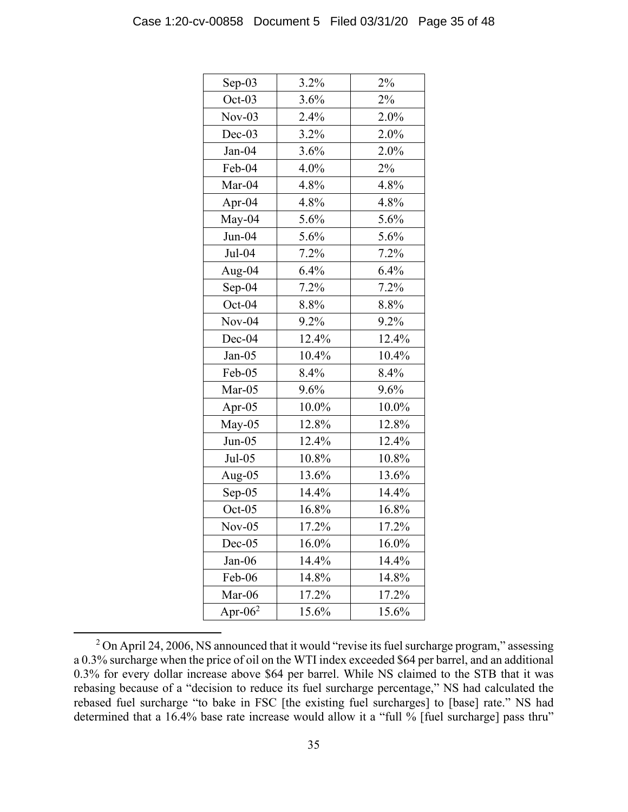| $Sep-03$   | 3.2%    | 2%    |
|------------|---------|-------|
| $Oct-03$   | 3.6%    | 2%    |
| $Nov-03$   | 2.4%    | 2.0%  |
| $Dec-03$   | 3.2%    | 2.0%  |
| Jan-04     | 3.6%    | 2.0%  |
| Feb-04     | 4.0%    | 2%    |
| Mar-04     | 4.8%    | 4.8%  |
| Apr-04     | 4.8%    | 4.8%  |
| May-04     | 5.6%    | 5.6%  |
| $Jun-04$   | 5.6%    | 5.6%  |
| $Jul-04$   | 7.2%    | 7.2%  |
| Aug- $04$  | 6.4%    | 6.4%  |
| $Sep-04$   | $7.2\%$ | 7.2%  |
| Oct-04     | 8.8%    | 8.8%  |
| $Nov-04$   | 9.2%    | 9.2%  |
| Dec-04     | 12.4%   | 12.4% |
| $Jan-05$   | 10.4%   | 10.4% |
| Feb-05     | 8.4%    | 8.4%  |
| Mar-05     | 9.6%    | 9.6%  |
| Apr-05     | 10.0%   | 10.0% |
| $May-05$   | 12.8%   | 12.8% |
| $Jun-05$   | 12.4%   | 12.4% |
| $Jul-05$   | 10.8%   | 10.8% |
| Aug- $05$  | 13.6%   | 13.6% |
| $Sep-05$   | 14.4%   | 14.4% |
| $Oct-05$   | 16.8%   | 16.8% |
| $Nov-05$   | 17.2%   | 17.2% |
| Dec-05     | 16.0%   | 16.0% |
| $Jan-06$   | 14.4%   | 14.4% |
| Feb-06     | 14.8%   | 14.8% |
| Mar-06     | 17.2%   | 17.2% |
| Apr- $062$ | 15.6%   | 15.6% |

 <sup>2</sup> On April 24, 2006, NS announced that it would "revise its fuel surcharge program," assessing a 0.3% surcharge when the price of oil on the WTI index exceeded \$64 per barrel, and an additional 0.3% for every dollar increase above \$64 per barrel. While NS claimed to the STB that it was rebasing because of a "decision to reduce its fuel surcharge percentage," NS had calculated the rebased fuel surcharge "to bake in FSC [the existing fuel surcharges] to [base] rate." NS had determined that a 16.4% base rate increase would allow it a "full % [fuel surcharge] pass thru"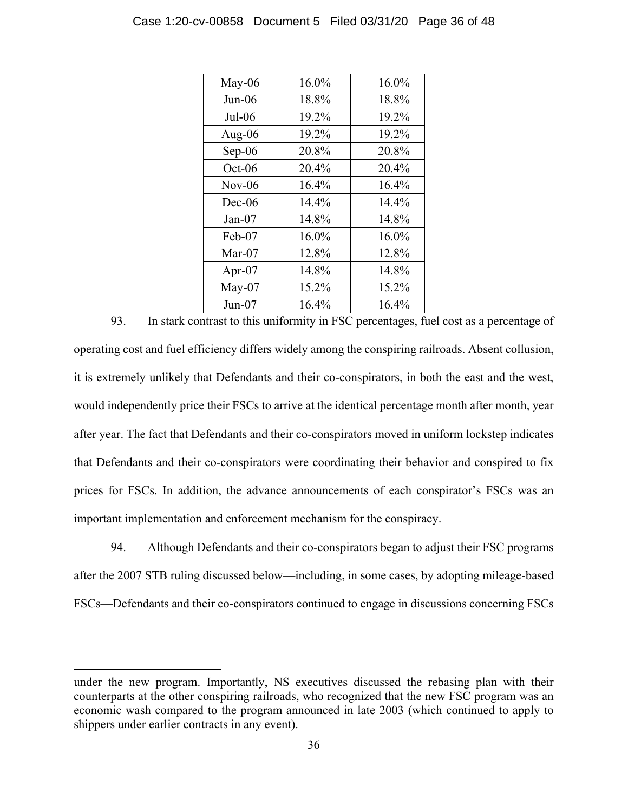## Case 1:20-cv-00858 Document 5 Filed 03/31/20 Page 36 of 48

| $May-06$  | 16.0%    | 16.0%    |
|-----------|----------|----------|
| $Jun-06$  | 18.8%    | 18.8%    |
| $Jul-06$  | 19.2%    | 19.2%    |
| Aug-06    | 19.2%    | 19.2%    |
| $Sep-06$  | 20.8%    | 20.8%    |
| $Oct-06$  | 20.4%    | 20.4%    |
| $Nov-06$  | 16.4%    | 16.4%    |
| $Dec-06$  | $14.4\%$ | $14.4\%$ |
| Jan- $07$ | 14.8%    | 14.8%    |
| Feb-07    | 16.0%    | 16.0%    |
| Mar-07    | 12.8%    | 12.8%    |
| Apr-07    | 14.8%    | 14.8%    |
| $May-07$  | 15.2%    | 15.2%    |
| $Jun-07$  | 16.4%    | 16.4%    |

93. In stark contrast to this uniformity in FSC percentages, fuel cost as a percentage of operating cost and fuel efficiency differs widely among the conspiring railroads. Absent collusion, it is extremely unlikely that Defendants and their co-conspirators, in both the east and the west, would independently price their FSCs to arrive at the identical percentage month after month, year after year. The fact that Defendants and their co-conspirators moved in uniform lockstep indicates that Defendants and their co-conspirators were coordinating their behavior and conspired to fix prices for FSCs. In addition, the advance announcements of each conspirator's FSCs was an important implementation and enforcement mechanism for the conspiracy.

94. Although Defendants and their co-conspirators began to adjust their FSC programs after the 2007 STB ruling discussed below—including, in some cases, by adopting mileage-based FSCs—Defendants and their co-conspirators continued to engage in discussions concerning FSCs

 $\overline{a}$ 

under the new program. Importantly, NS executives discussed the rebasing plan with their counterparts at the other conspiring railroads, who recognized that the new FSC program was an economic wash compared to the program announced in late 2003 (which continued to apply to shippers under earlier contracts in any event).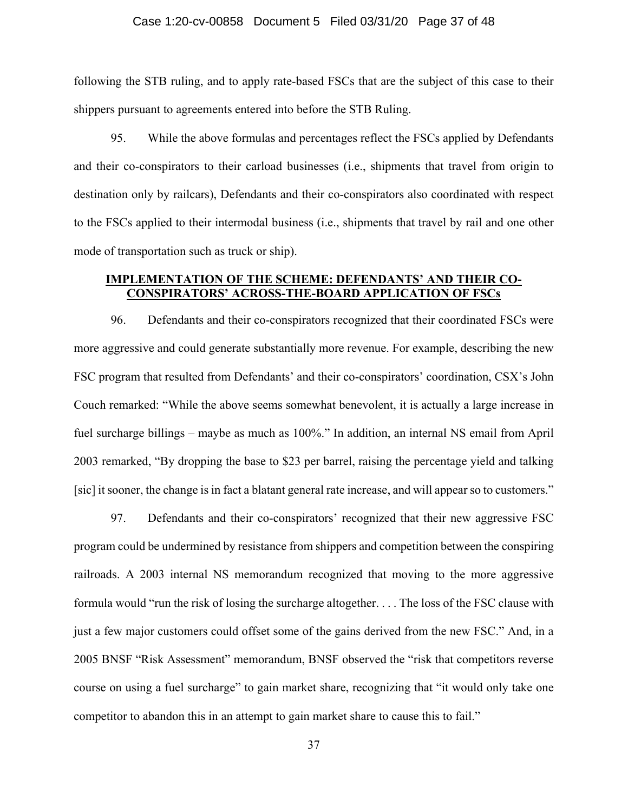# Case 1:20-cv-00858 Document 5 Filed 03/31/20 Page 37 of 48

following the STB ruling, and to apply rate-based FSCs that are the subject of this case to their shippers pursuant to agreements entered into before the STB Ruling.

95. While the above formulas and percentages reflect the FSCs applied by Defendants and their co-conspirators to their carload businesses (i.e., shipments that travel from origin to destination only by railcars), Defendants and their co-conspirators also coordinated with respect to the FSCs applied to their intermodal business (i.e., shipments that travel by rail and one other mode of transportation such as truck or ship).

# **IMPLEMENTATION OF THE SCHEME: DEFENDANTS' AND THEIR CO-CONSPIRATORS' ACROSS-THE-BOARD APPLICATION OF FSCs**

96. Defendants and their co-conspirators recognized that their coordinated FSCs were more aggressive and could generate substantially more revenue. For example, describing the new FSC program that resulted from Defendants' and their co-conspirators' coordination, CSX's John Couch remarked: "While the above seems somewhat benevolent, it is actually a large increase in fuel surcharge billings – maybe as much as 100%." In addition, an internal NS email from April 2003 remarked, "By dropping the base to \$23 per barrel, raising the percentage yield and talking [sic] it sooner, the change is in fact a blatant general rate increase, and will appear so to customers."

97. Defendants and their co-conspirators' recognized that their new aggressive FSC program could be undermined by resistance from shippers and competition between the conspiring railroads. A 2003 internal NS memorandum recognized that moving to the more aggressive formula would "run the risk of losing the surcharge altogether. . . . The loss of the FSC clause with just a few major customers could offset some of the gains derived from the new FSC." And, in a 2005 BNSF "Risk Assessment" memorandum, BNSF observed the "risk that competitors reverse course on using a fuel surcharge" to gain market share, recognizing that "it would only take one competitor to abandon this in an attempt to gain market share to cause this to fail."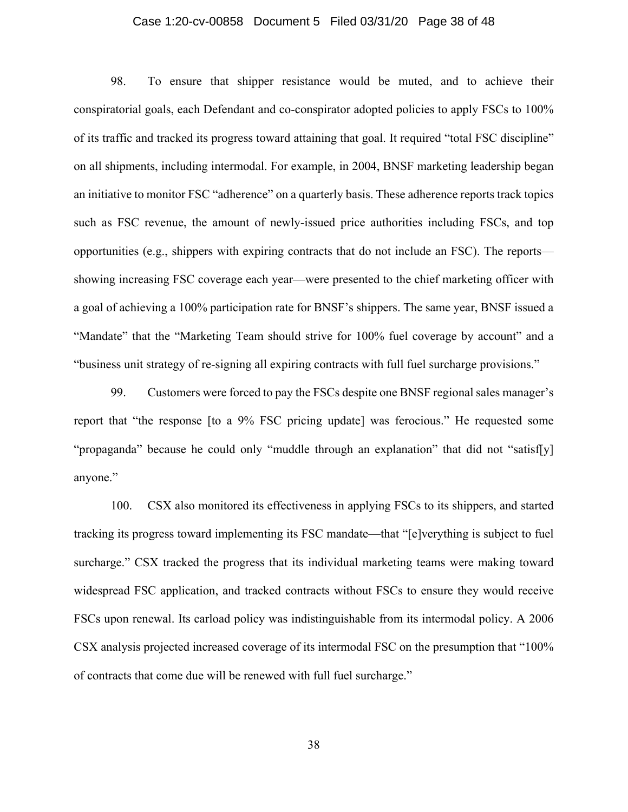# Case 1:20-cv-00858 Document 5 Filed 03/31/20 Page 38 of 48

98. To ensure that shipper resistance would be muted, and to achieve their conspiratorial goals, each Defendant and co-conspirator adopted policies to apply FSCs to 100% of its traffic and tracked its progress toward attaining that goal. It required "total FSC discipline" on all shipments, including intermodal. For example, in 2004, BNSF marketing leadership began an initiative to monitor FSC "adherence" on a quarterly basis. These adherence reports track topics such as FSC revenue, the amount of newly-issued price authorities including FSCs, and top opportunities (e.g., shippers with expiring contracts that do not include an FSC). The reports showing increasing FSC coverage each year—were presented to the chief marketing officer with a goal of achieving a 100% participation rate for BNSF's shippers. The same year, BNSF issued a "Mandate" that the "Marketing Team should strive for 100% fuel coverage by account" and a "business unit strategy of re-signing all expiring contracts with full fuel surcharge provisions."

99. Customers were forced to pay the FSCs despite one BNSF regional sales manager's report that "the response [to a 9% FSC pricing update] was ferocious." He requested some "propaganda" because he could only "muddle through an explanation" that did not "satisf[y] anyone."

100. CSX also monitored its effectiveness in applying FSCs to its shippers, and started tracking its progress toward implementing its FSC mandate—that "[e]verything is subject to fuel surcharge." CSX tracked the progress that its individual marketing teams were making toward widespread FSC application, and tracked contracts without FSCs to ensure they would receive FSCs upon renewal. Its carload policy was indistinguishable from its intermodal policy. A 2006 CSX analysis projected increased coverage of its intermodal FSC on the presumption that "100% of contracts that come due will be renewed with full fuel surcharge."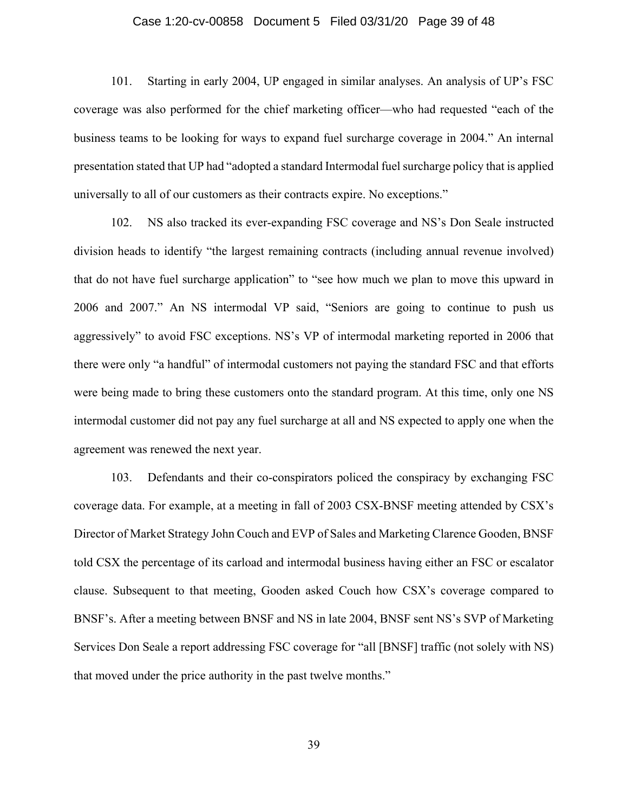#### Case 1:20-cv-00858 Document 5 Filed 03/31/20 Page 39 of 48

101. Starting in early 2004, UP engaged in similar analyses. An analysis of UP's FSC coverage was also performed for the chief marketing officer—who had requested "each of the business teams to be looking for ways to expand fuel surcharge coverage in 2004." An internal presentation stated that UP had "adopted a standard Intermodal fuel surcharge policy that is applied universally to all of our customers as their contracts expire. No exceptions."

102. NS also tracked its ever-expanding FSC coverage and NS's Don Seale instructed division heads to identify "the largest remaining contracts (including annual revenue involved) that do not have fuel surcharge application" to "see how much we plan to move this upward in 2006 and 2007." An NS intermodal VP said, "Seniors are going to continue to push us aggressively" to avoid FSC exceptions. NS's VP of intermodal marketing reported in 2006 that there were only "a handful" of intermodal customers not paying the standard FSC and that efforts were being made to bring these customers onto the standard program. At this time, only one NS intermodal customer did not pay any fuel surcharge at all and NS expected to apply one when the agreement was renewed the next year.

103. Defendants and their co-conspirators policed the conspiracy by exchanging FSC coverage data. For example, at a meeting in fall of 2003 CSX-BNSF meeting attended by CSX's Director of Market Strategy John Couch and EVP of Sales and Marketing Clarence Gooden, BNSF told CSX the percentage of its carload and intermodal business having either an FSC or escalator clause. Subsequent to that meeting, Gooden asked Couch how CSX's coverage compared to BNSF's. After a meeting between BNSF and NS in late 2004, BNSF sent NS's SVP of Marketing Services Don Seale a report addressing FSC coverage for "all [BNSF] traffic (not solely with NS) that moved under the price authority in the past twelve months."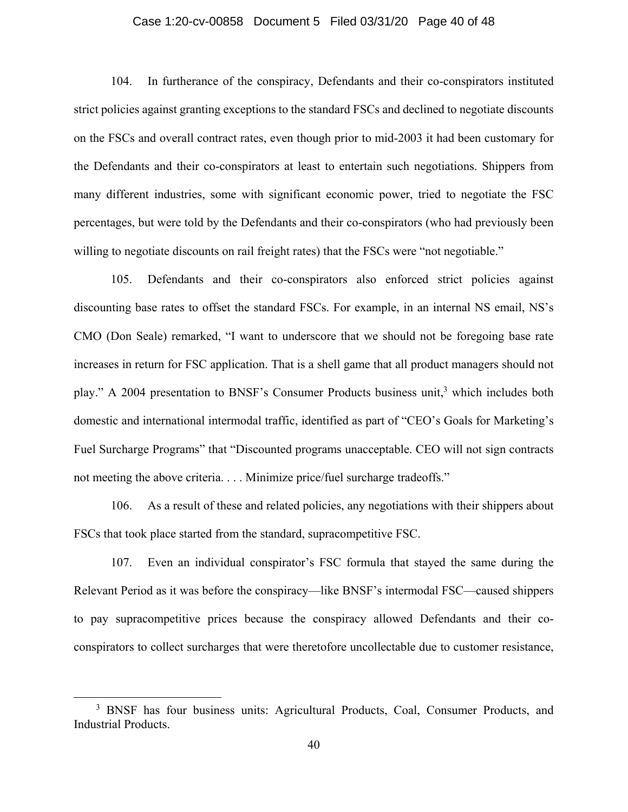# Case 1:20-cv-00858 Document 5 Filed 03/31/20 Page 40 of 48

104. In furtherance of the conspiracy, Defendants and their co-conspirators instituted strict policies against granting exceptions to the standard FSCs and declined to negotiate discounts on the FSCs and overall contract rates, even though prior to mid-2003 it had been customary for the Defendants and their co-conspirators at least to entertain such negotiations. Shippers from many different industries, some with significant economic power, tried to negotiate the FSC percentages, but were told by the Defendants and their co-conspirators (who had previously been willing to negotiate discounts on rail freight rates) that the FSCs were "not negotiable."

105. Defendants and their co-conspirators also enforced strict policies against discounting base rates to offset the standard FSCs. For example, in an internal NS email, NS's CMO (Don Seale) remarked, "I want to underscore that we should not be foregoing base rate increases in return for FSC application. That is a shell game that all product managers should not play." A 2004 presentation to BNSF's Consumer Products business unit,<sup>3</sup> which includes both domestic and international intermodal traffic, identified as part of "CEO's Goals for Marketing's Fuel Surcharge Programs" that "Discounted programs unacceptable. CEO will not sign contracts not meeting the above criteria. . . . Minimize price/fuel surcharge tradeoffs."

106. As a result of these and related policies, any negotiations with their shippers about FSCs that took place started from the standard, supracompetitive FSC.

107. Even an individual conspirator's FSC formula that stayed the same during the Relevant Period as it was before the conspiracy—like BNSF's intermodal FSC—caused shippers to pay supracompetitive prices because the conspiracy allowed Defendants and their coconspirators to collect surcharges that were theretofore uncollectable due to customer resistance,

 <sup>3</sup> <sup>3</sup> BNSF has four business units: Agricultural Products, Coal, Consumer Products, and Industrial Products.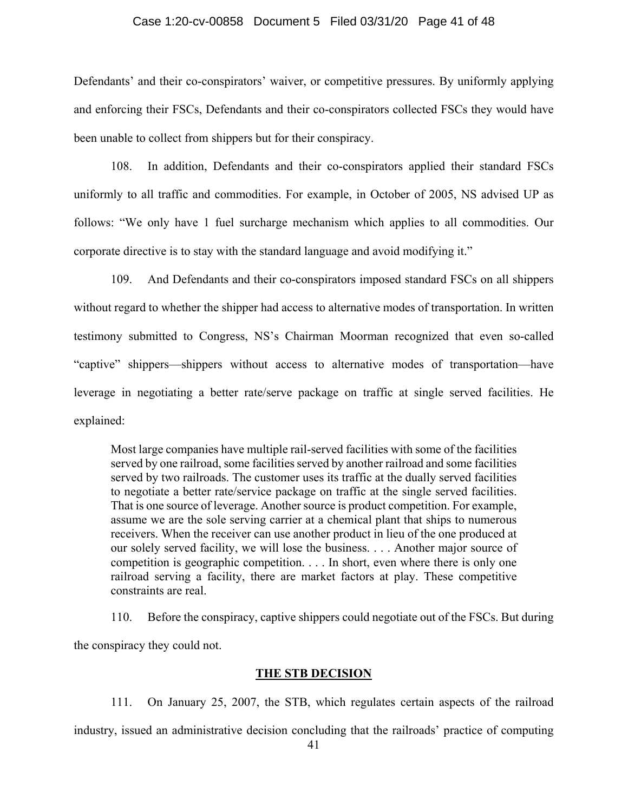#### Case 1:20-cv-00858 Document 5 Filed 03/31/20 Page 41 of 48

Defendants' and their co-conspirators' waiver, or competitive pressures. By uniformly applying and enforcing their FSCs, Defendants and their co-conspirators collected FSCs they would have been unable to collect from shippers but for their conspiracy.

108. In addition, Defendants and their co-conspirators applied their standard FSCs uniformly to all traffic and commodities. For example, in October of 2005, NS advised UP as follows: "We only have 1 fuel surcharge mechanism which applies to all commodities. Our corporate directive is to stay with the standard language and avoid modifying it."

109. And Defendants and their co-conspirators imposed standard FSCs on all shippers without regard to whether the shipper had access to alternative modes of transportation. In written testimony submitted to Congress, NS's Chairman Moorman recognized that even so-called "captive" shippers—shippers without access to alternative modes of transportation—have leverage in negotiating a better rate/serve package on traffic at single served facilities. He explained:

Most large companies have multiple rail-served facilities with some of the facilities served by one railroad, some facilities served by another railroad and some facilities served by two railroads. The customer uses its traffic at the dually served facilities to negotiate a better rate/service package on traffic at the single served facilities. That is one source of leverage. Another source is product competition. For example, assume we are the sole serving carrier at a chemical plant that ships to numerous receivers. When the receiver can use another product in lieu of the one produced at our solely served facility, we will lose the business. . . . Another major source of competition is geographic competition. . . . In short, even where there is only one railroad serving a facility, there are market factors at play. These competitive constraints are real.

110. Before the conspiracy, captive shippers could negotiate out of the FSCs. But during the conspiracy they could not.

#### **THE STB DECISION**

111. On January 25, 2007, the STB, which regulates certain aspects of the railroad industry, issued an administrative decision concluding that the railroads' practice of computing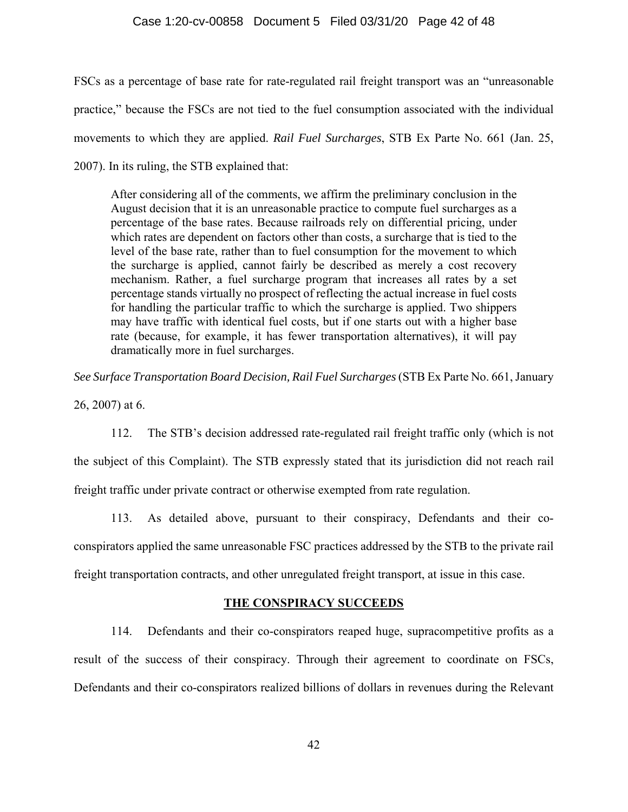## Case 1:20-cv-00858 Document 5 Filed 03/31/20 Page 42 of 48

FSCs as a percentage of base rate for rate-regulated rail freight transport was an "unreasonable practice," because the FSCs are not tied to the fuel consumption associated with the individual movements to which they are applied. *Rail Fuel Surcharges*, STB Ex Parte No. 661 (Jan. 25, 2007). In its ruling, the STB explained that:

After considering all of the comments, we affirm the preliminary conclusion in the August decision that it is an unreasonable practice to compute fuel surcharges as a percentage of the base rates. Because railroads rely on differential pricing, under which rates are dependent on factors other than costs, a surcharge that is tied to the level of the base rate, rather than to fuel consumption for the movement to which the surcharge is applied, cannot fairly be described as merely a cost recovery mechanism. Rather, a fuel surcharge program that increases all rates by a set percentage stands virtually no prospect of reflecting the actual increase in fuel costs for handling the particular traffic to which the surcharge is applied. Two shippers may have traffic with identical fuel costs, but if one starts out with a higher base rate (because, for example, it has fewer transportation alternatives), it will pay dramatically more in fuel surcharges.

*See Surface Transportation Board Decision, Rail Fuel Surcharges* (STB Ex Parte No. 661, January

26, 2007) at 6.

112. The STB's decision addressed rate-regulated rail freight traffic only (which is not the subject of this Complaint). The STB expressly stated that its jurisdiction did not reach rail freight traffic under private contract or otherwise exempted from rate regulation.

113. As detailed above, pursuant to their conspiracy, Defendants and their coconspirators applied the same unreasonable FSC practices addressed by the STB to the private rail freight transportation contracts, and other unregulated freight transport, at issue in this case.

# **THE CONSPIRACY SUCCEEDS**

114. Defendants and their co-conspirators reaped huge, supracompetitive profits as a result of the success of their conspiracy. Through their agreement to coordinate on FSCs, Defendants and their co-conspirators realized billions of dollars in revenues during the Relevant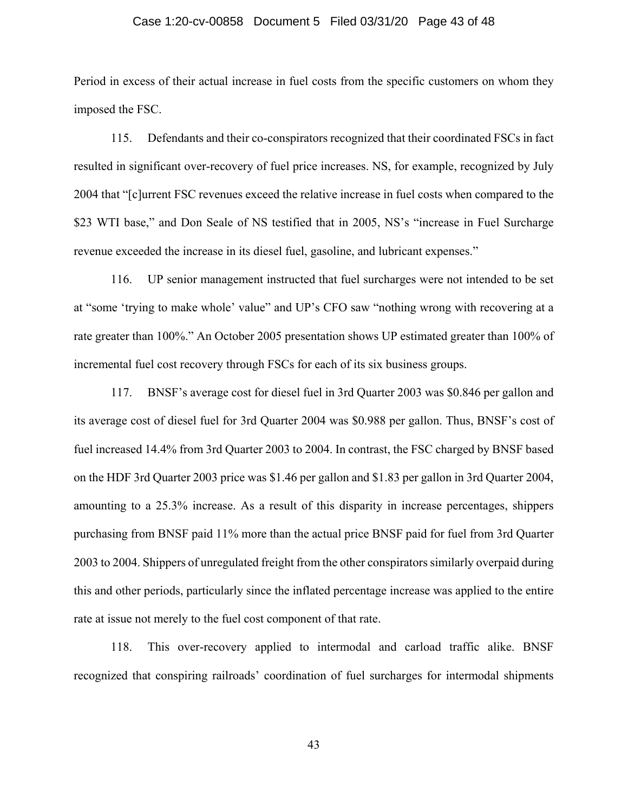#### Case 1:20-cv-00858 Document 5 Filed 03/31/20 Page 43 of 48

Period in excess of their actual increase in fuel costs from the specific customers on whom they imposed the FSC.

115. Defendants and their co-conspirators recognized that their coordinated FSCs in fact resulted in significant over-recovery of fuel price increases. NS, for example, recognized by July 2004 that "[c]urrent FSC revenues exceed the relative increase in fuel costs when compared to the \$23 WTI base," and Don Seale of NS testified that in 2005, NS's "increase in Fuel Surcharge revenue exceeded the increase in its diesel fuel, gasoline, and lubricant expenses."

116. UP senior management instructed that fuel surcharges were not intended to be set at "some 'trying to make whole' value" and UP's CFO saw "nothing wrong with recovering at a rate greater than 100%." An October 2005 presentation shows UP estimated greater than 100% of incremental fuel cost recovery through FSCs for each of its six business groups.

117. BNSF's average cost for diesel fuel in 3rd Quarter 2003 was \$0.846 per gallon and its average cost of diesel fuel for 3rd Quarter 2004 was \$0.988 per gallon. Thus, BNSF's cost of fuel increased 14.4% from 3rd Quarter 2003 to 2004. In contrast, the FSC charged by BNSF based on the HDF 3rd Quarter 2003 price was \$1.46 per gallon and \$1.83 per gallon in 3rd Quarter 2004, amounting to a 25.3% increase. As a result of this disparity in increase percentages, shippers purchasing from BNSF paid 11% more than the actual price BNSF paid for fuel from 3rd Quarter 2003 to 2004. Shippers of unregulated freight from the other conspirators similarly overpaid during this and other periods, particularly since the inflated percentage increase was applied to the entire rate at issue not merely to the fuel cost component of that rate.

118. This over-recovery applied to intermodal and carload traffic alike. BNSF recognized that conspiring railroads' coordination of fuel surcharges for intermodal shipments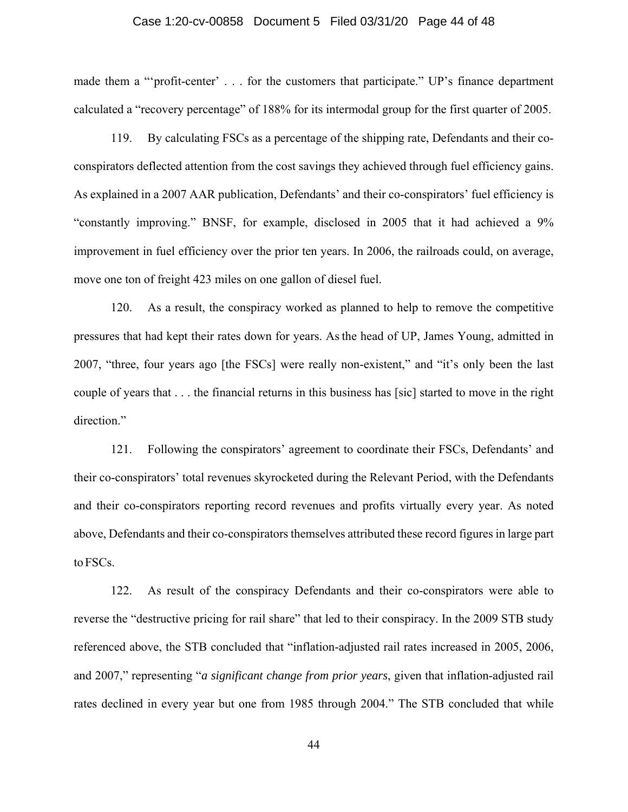# Case 1:20-cv-00858 Document 5 Filed 03/31/20 Page 44 of 48

made them a "'profit-center' . . . for the customers that participate." UP's finance department calculated a "recovery percentage" of 188% for its intermodal group for the first quarter of 2005.

119. By calculating FSCs as a percentage of the shipping rate, Defendants and their coconspirators deflected attention from the cost savings they achieved through fuel efficiency gains. As explained in a 2007 AAR publication, Defendants' and their co-conspirators' fuel efficiency is "constantly improving." BNSF, for example, disclosed in 2005 that it had achieved a 9% improvement in fuel efficiency over the prior ten years. In 2006, the railroads could, on average, move one ton of freight 423 miles on one gallon of diesel fuel.

120. As a result, the conspiracy worked as planned to help to remove the competitive pressures that had kept their rates down for years. As the head of UP, James Young, admitted in 2007, "three, four years ago [the FSCs] were really non-existent," and "it's only been the last couple of years that . . . the financial returns in this business has [sic] started to move in the right direction."

121. Following the conspirators' agreement to coordinate their FSCs, Defendants' and their co-conspirators' total revenues skyrocketed during the Relevant Period, with the Defendants and their co-conspirators reporting record revenues and profits virtually every year. As noted above, Defendants and their co-conspirators themselves attributed these record figures in large part to FSCs.

122. As result of the conspiracy Defendants and their co-conspirators were able to reverse the "destructive pricing for rail share" that led to their conspiracy. In the 2009 STB study referenced above, the STB concluded that "inflation-adjusted rail rates increased in 2005, 2006, and 2007," representing "*a significant change from prior years*, given that inflation-adjusted rail rates declined in every year but one from 1985 through 2004." The STB concluded that while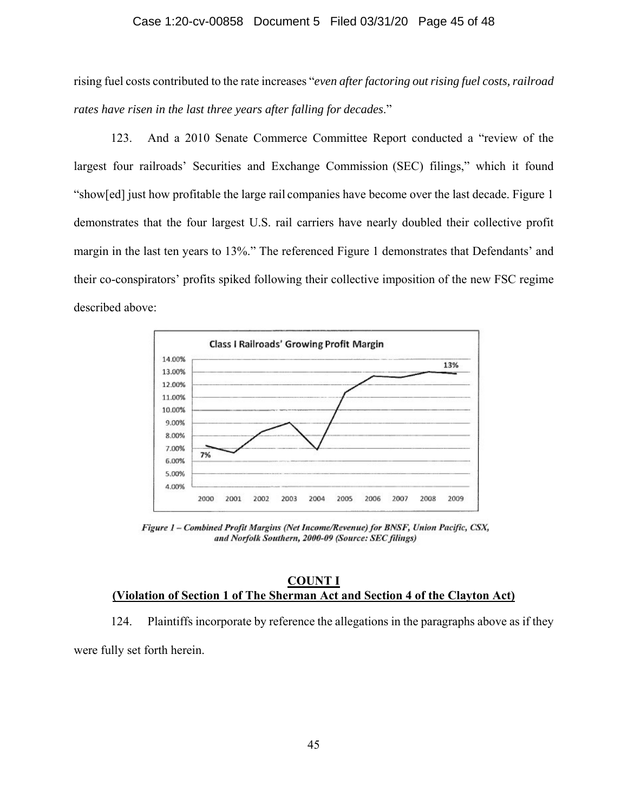#### Case 1:20-cv-00858 Document 5 Filed 03/31/20 Page 45 of 48

rising fuel costs contributed to the rate increases "*even after factoring out rising fuel costs, railroad rates have risen in the last three years after falling for decades*."

123. And a 2010 Senate Commerce Committee Report conducted a "review of the largest four railroads' Securities and Exchange Commission (SEC) filings," which it found "show[ed] just how profitable the large rail companies have become over the last decade. Figure 1 demonstrates that the four largest U.S. rail carriers have nearly doubled their collective profit margin in the last ten years to 13%." The referenced Figure 1 demonstrates that Defendants' and their co-conspirators' profits spiked following their collective imposition of the new FSC regime described above:



Figure 1 - Combined Profit Margins (Net Income/Revenue) for BNSF, Union Pacific, CSX, and Norfolk Southern, 2000-09 (Source: SEC filings)

# **COUNT I (Violation of Section 1 of The Sherman Act and Section 4 of the Clayton Act)**

124. Plaintiffs incorporate by reference the allegations in the paragraphs above as if they were fully set forth herein.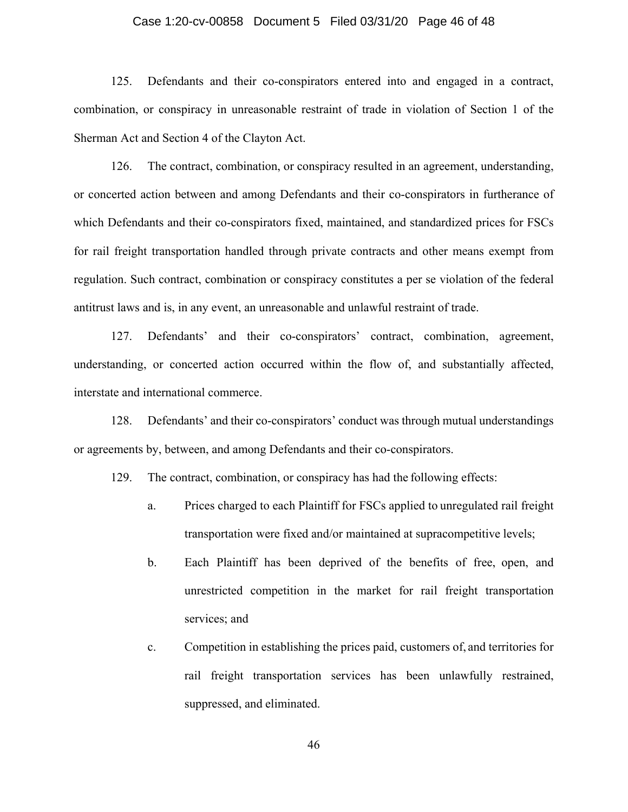#### Case 1:20-cv-00858 Document 5 Filed 03/31/20 Page 46 of 48

125. Defendants and their co-conspirators entered into and engaged in a contract, combination, or conspiracy in unreasonable restraint of trade in violation of Section 1 of the Sherman Act and Section 4 of the Clayton Act.

126. The contract, combination, or conspiracy resulted in an agreement, understanding, or concerted action between and among Defendants and their co-conspirators in furtherance of which Defendants and their co-conspirators fixed, maintained, and standardized prices for FSCs for rail freight transportation handled through private contracts and other means exempt from regulation. Such contract, combination or conspiracy constitutes a per se violation of the federal antitrust laws and is, in any event, an unreasonable and unlawful restraint of trade.

127. Defendants' and their co-conspirators' contract, combination, agreement, understanding, or concerted action occurred within the flow of, and substantially affected, interstate and international commerce.

128. Defendants' and their co-conspirators' conduct was through mutual understandings or agreements by, between, and among Defendants and their co-conspirators.

129. The contract, combination, or conspiracy has had the following effects:

- a. Prices charged to each Plaintiff for FSCs applied to unregulated rail freight transportation were fixed and/or maintained at supracompetitive levels;
- b. Each Plaintiff has been deprived of the benefits of free, open, and unrestricted competition in the market for rail freight transportation services; and
- c. Competition in establishing the prices paid, customers of, and territories for rail freight transportation services has been unlawfully restrained, suppressed, and eliminated.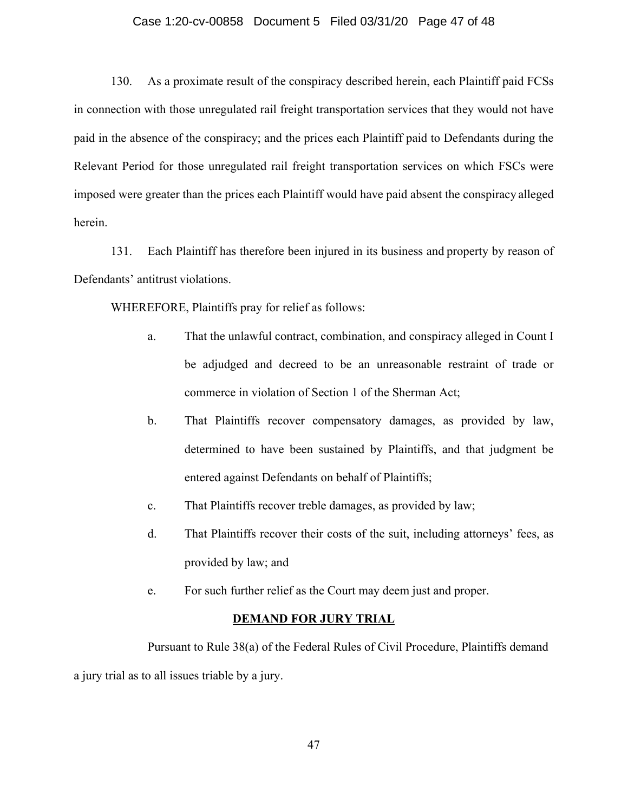# Case 1:20-cv-00858 Document 5 Filed 03/31/20 Page 47 of 48

130. As a proximate result of the conspiracy described herein, each Plaintiff paid FCSs in connection with those unregulated rail freight transportation services that they would not have paid in the absence of the conspiracy; and the prices each Plaintiff paid to Defendants during the Relevant Period for those unregulated rail freight transportation services on which FSCs were imposed were greater than the prices each Plaintiff would have paid absent the conspiracy alleged herein.

131. Each Plaintiff has therefore been injured in its business and property by reason of Defendants' antitrust violations.

WHEREFORE, Plaintiffs pray for relief as follows:

- a. That the unlawful contract, combination, and conspiracy alleged in Count I be adjudged and decreed to be an unreasonable restraint of trade or commerce in violation of Section 1 of the Sherman Act;
- b. That Plaintiffs recover compensatory damages, as provided by law, determined to have been sustained by Plaintiffs, and that judgment be entered against Defendants on behalf of Plaintiffs;
- c. That Plaintiffs recover treble damages, as provided by law;
- d. That Plaintiffs recover their costs of the suit, including attorneys' fees, as provided by law; and
- e. For such further relief as the Court may deem just and proper.

#### **DEMAND FOR JURY TRIAL**

Pursuant to Rule 38(a) of the Federal Rules of Civil Procedure, Plaintiffs demand a jury trial as to all issues triable by a jury.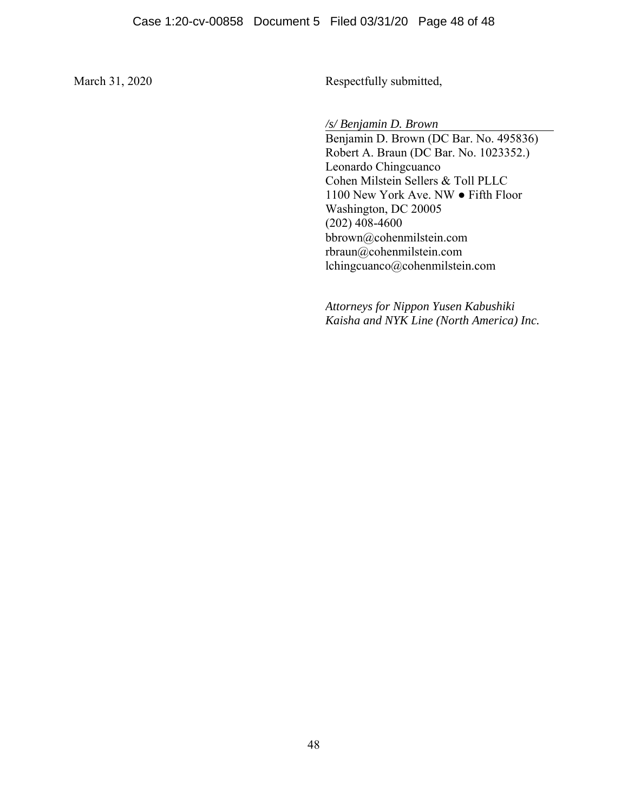March 31, 2020 Respectfully submitted,

*/s/ Benjamin D. Brown* 

 Benjamin D. Brown (DC Bar. No. 495836) Robert A. Braun (DC Bar. No. 1023352.) Leonardo Chingcuanco Cohen Milstein Sellers & Toll PLLC 1100 New York Ave. NW ● Fifth Floor Washington, DC 20005  $(202)$  408-4600 bbrown@cohenmilstein.com rbraun@cohenmilstein.com lchingcuanco@cohenmilstein.com

*Attorneys for Nippon Yusen Kabushiki Kaisha and NYK Line (North America) Inc.*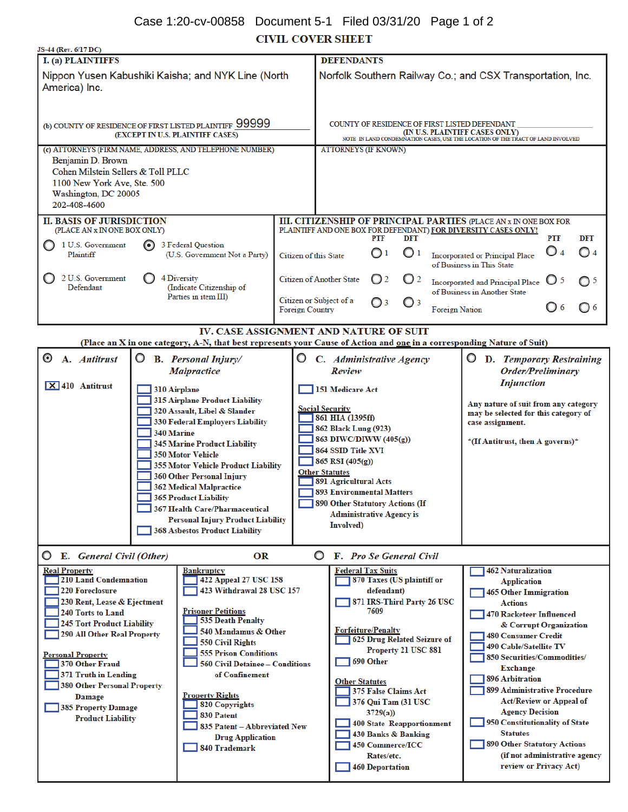| <b>JS-44 (Rev. 6/17 DC)</b>                                                                                                                                                                                                                                                                                                                                                                                                                                                                                                                                                                                                                                                                                                                                                                                                            |                                                                                                                                                                                                                                                                                                                                                                                                                                                 |                                                   | UIVIL COVER SHEEL                                                                                                                                                                                                                                                                                                                     |                                                                                                                                                                                                                                                                                                                                       |                     |                       |                                                                                                                                                                                                                                                                                                                                                                                                                                                                                        |              |                     |
|----------------------------------------------------------------------------------------------------------------------------------------------------------------------------------------------------------------------------------------------------------------------------------------------------------------------------------------------------------------------------------------------------------------------------------------------------------------------------------------------------------------------------------------------------------------------------------------------------------------------------------------------------------------------------------------------------------------------------------------------------------------------------------------------------------------------------------------|-------------------------------------------------------------------------------------------------------------------------------------------------------------------------------------------------------------------------------------------------------------------------------------------------------------------------------------------------------------------------------------------------------------------------------------------------|---------------------------------------------------|---------------------------------------------------------------------------------------------------------------------------------------------------------------------------------------------------------------------------------------------------------------------------------------------------------------------------------------|---------------------------------------------------------------------------------------------------------------------------------------------------------------------------------------------------------------------------------------------------------------------------------------------------------------------------------------|---------------------|-----------------------|----------------------------------------------------------------------------------------------------------------------------------------------------------------------------------------------------------------------------------------------------------------------------------------------------------------------------------------------------------------------------------------------------------------------------------------------------------------------------------------|--------------|---------------------|
| <b>I.</b> (a) PLAINTIFFS                                                                                                                                                                                                                                                                                                                                                                                                                                                                                                                                                                                                                                                                                                                                                                                                               |                                                                                                                                                                                                                                                                                                                                                                                                                                                 |                                                   | <b>DEFENDANTS</b>                                                                                                                                                                                                                                                                                                                     |                                                                                                                                                                                                                                                                                                                                       |                     |                       |                                                                                                                                                                                                                                                                                                                                                                                                                                                                                        |              |                     |
| Nippon Yusen Kabushiki Kaisha; and NYK Line (North<br>America) Inc.                                                                                                                                                                                                                                                                                                                                                                                                                                                                                                                                                                                                                                                                                                                                                                    |                                                                                                                                                                                                                                                                                                                                                                                                                                                 |                                                   |                                                                                                                                                                                                                                                                                                                                       |                                                                                                                                                                                                                                                                                                                                       |                     |                       | Norfolk Southern Railway Co.; and CSX Transportation, Inc.                                                                                                                                                                                                                                                                                                                                                                                                                             |              |                     |
| (b) COUNTY OF RESIDENCE OF FIRST LISTED PLAINTIFF 99999<br>(EXCEPT IN U.S. PLAINTIFF CASES)                                                                                                                                                                                                                                                                                                                                                                                                                                                                                                                                                                                                                                                                                                                                            |                                                                                                                                                                                                                                                                                                                                                                                                                                                 |                                                   |                                                                                                                                                                                                                                                                                                                                       |                                                                                                                                                                                                                                                                                                                                       |                     |                       | COUNTY OF RESIDENCE OF FIRST LISTED DEFENDANT<br>(IN U.S. PLAINTIFF CASES ONLY)<br>NOTE IN LAND CONDEMNATION CASES, USE THE LOCATION OF THE TRACT OF LAND INVOLVED                                                                                                                                                                                                                                                                                                                     |              |                     |
| (c) ATTORNEYS (FIRM NAME, ADDRESS, AND TELEPHONE NUMBER)<br>Benjamin D. Brown<br>Cohen Milstein Sellers & Toll PLLC<br>1100 New York Ave, Ste. 500<br>Washington, DC 20005<br>202-408-4600                                                                                                                                                                                                                                                                                                                                                                                                                                                                                                                                                                                                                                             |                                                                                                                                                                                                                                                                                                                                                                                                                                                 |                                                   | <b>ATTORNEYS (IF KNOWN)</b>                                                                                                                                                                                                                                                                                                           |                                                                                                                                                                                                                                                                                                                                       |                     |                       |                                                                                                                                                                                                                                                                                                                                                                                                                                                                                        |              |                     |
| <b>II. BASIS OF JURISDICTION</b>                                                                                                                                                                                                                                                                                                                                                                                                                                                                                                                                                                                                                                                                                                                                                                                                       |                                                                                                                                                                                                                                                                                                                                                                                                                                                 |                                                   |                                                                                                                                                                                                                                                                                                                                       |                                                                                                                                                                                                                                                                                                                                       |                     |                       | III. CITIZENSHIP OF PRINCIPAL PARTIES (PLACE AN x IN ONE BOX FOR                                                                                                                                                                                                                                                                                                                                                                                                                       |              |                     |
| (PLACE AN x IN ONE BOX ONLY)<br>1 U.S. Government<br>Plaintiff                                                                                                                                                                                                                                                                                                                                                                                                                                                                                                                                                                                                                                                                                                                                                                         | 3 Federal Question<br>(U.S. Government Not a Party)                                                                                                                                                                                                                                                                                                                                                                                             | Citizen of this State                             |                                                                                                                                                                                                                                                                                                                                       | <b>PTF</b><br>$\bigcirc$ 1                                                                                                                                                                                                                                                                                                            | DFT<br>$\bigcirc$ 1 |                       | PLAINTIFF AND ONE BOX FOR DEFENDANT) FOR DIVERSITY CASES ONLY!<br><b>Incorporated or Principal Place</b><br>of Business in This State                                                                                                                                                                                                                                                                                                                                                  | PTF<br>O 4   | DFT<br>$\bigcirc$ 4 |
| 2 U.S. Government<br>Defendant                                                                                                                                                                                                                                                                                                                                                                                                                                                                                                                                                                                                                                                                                                                                                                                                         | 4 Diversity<br>(Indicate Citizenship of<br>Parties in item III)                                                                                                                                                                                                                                                                                                                                                                                 | <b>Citizen of Another State</b>                   |                                                                                                                                                                                                                                                                                                                                       | $\Omega$                                                                                                                                                                                                                                                                                                                              | $\mathbf{O}$ 2      |                       | <b>Incorporated and Principal Place</b><br>of Business in Another State                                                                                                                                                                                                                                                                                                                                                                                                                | $\bigcirc$ 5 | O <sub>5</sub>      |
|                                                                                                                                                                                                                                                                                                                                                                                                                                                                                                                                                                                                                                                                                                                                                                                                                                        |                                                                                                                                                                                                                                                                                                                                                                                                                                                 | Citizen or Subject of a<br><b>Foreign Country</b> |                                                                                                                                                                                                                                                                                                                                       | $\bigcirc$ 3                                                                                                                                                                                                                                                                                                                          | $\bigcirc$ 3        | <b>Foreign Nation</b> |                                                                                                                                                                                                                                                                                                                                                                                                                                                                                        | 6            | O 6                 |
|                                                                                                                                                                                                                                                                                                                                                                                                                                                                                                                                                                                                                                                                                                                                                                                                                                        | <b>IV. CASE ASSIGNMENT AND NATURE OF SUIT</b>                                                                                                                                                                                                                                                                                                                                                                                                   |                                                   |                                                                                                                                                                                                                                                                                                                                       |                                                                                                                                                                                                                                                                                                                                       |                     |                       |                                                                                                                                                                                                                                                                                                                                                                                                                                                                                        |              |                     |
|                                                                                                                                                                                                                                                                                                                                                                                                                                                                                                                                                                                                                                                                                                                                                                                                                                        | (Place an X in one category, A-N, that best represents your Cause of Action and one in a corresponding Nature of Suit)                                                                                                                                                                                                                                                                                                                          |                                                   |                                                                                                                                                                                                                                                                                                                                       |                                                                                                                                                                                                                                                                                                                                       |                     |                       |                                                                                                                                                                                                                                                                                                                                                                                                                                                                                        |              |                     |
| $\boldsymbol{\odot}$<br>A. Antitrust                                                                                                                                                                                                                                                                                                                                                                                                                                                                                                                                                                                                                                                                                                                                                                                                   | <b>B.</b> Personal Injury/<br><b>Malpractice</b>                                                                                                                                                                                                                                                                                                                                                                                                | O<br>C. Administrative Agency<br>Review           |                                                                                                                                                                                                                                                                                                                                       | <b>O</b> D. Temporary Restraining<br><b>Order/Preliminary</b>                                                                                                                                                                                                                                                                         |                     |                       |                                                                                                                                                                                                                                                                                                                                                                                                                                                                                        |              |                     |
| $\vert$ X 410 Antitrust<br>310 Airplane                                                                                                                                                                                                                                                                                                                                                                                                                                                                                                                                                                                                                                                                                                                                                                                                |                                                                                                                                                                                                                                                                                                                                                                                                                                                 |                                                   | 151 Medicare Act                                                                                                                                                                                                                                                                                                                      |                                                                                                                                                                                                                                                                                                                                       |                     |                       | <b>Injunction</b>                                                                                                                                                                                                                                                                                                                                                                                                                                                                      |              |                     |
| <b>340 Marine</b>                                                                                                                                                                                                                                                                                                                                                                                                                                                                                                                                                                                                                                                                                                                                                                                                                      | <b>315 Airplane Product Liability</b><br>320 Assault, Libel & Slander<br>330 Federal Employers Liability<br><b>345 Marine Product Liability</b><br><b>350 Motor Vehicle</b><br>355 Motor Vehicle Product Liability<br><b>360 Other Personal Injury</b><br><b>362 Medical Malpractice</b><br><b>365 Product Liability</b><br>367 Health Care/Pharmaceutical<br><b>Personal Injury Product Liability</b><br><b>368 Asbestos Product Liability</b> |                                                   | <b>Social Security</b><br>861 HIA (1395ff)<br>862 Black Lung (923)<br>863 DIWC/DIWW (405(g))<br>864 SSID Title XVI<br>865 RSI (405(g))<br><b>Other Statutes</b><br><b>891 Agricultural Acts</b><br><b>893 Environmental Matters</b><br><b>890 Other Statutory Actions (If</b><br><b>Administrative Agency is</b><br><b>Involved</b> ) |                                                                                                                                                                                                                                                                                                                                       |                     |                       | Any nature of suit from any category<br>may be selected for this category of<br>case assignment.<br>*(If Antitrust, then A governs)*                                                                                                                                                                                                                                                                                                                                                   |              |                     |
| O<br>E. General Civil (Other)                                                                                                                                                                                                                                                                                                                                                                                                                                                                                                                                                                                                                                                                                                                                                                                                          | <b>OR</b>                                                                                                                                                                                                                                                                                                                                                                                                                                       | O                                                 | <b>F.</b> Pro Se General Civil                                                                                                                                                                                                                                                                                                        | Federal Tax Suits                                                                                                                                                                                                                                                                                                                     |                     |                       | <b>462 Naturalization</b>                                                                                                                                                                                                                                                                                                                                                                                                                                                              |              |                     |
| <b>Real Property</b><br><b>Bankruptcy</b><br><b>7210 Land Condemnation</b><br>422 Appeal 27 USC 158<br>423 Withdrawal 28 USC 157<br><b>220 Foreclosure</b><br>230 Rent, Lease & Ejectment<br><b>Prisoner Petitions</b><br><b>240 Torts to Land</b><br><b>535 Death Penalty</b><br><b>245 Tort Product Liability</b><br>540 Mandamus & Other<br><b>290 All Other Real Property</b><br><b>550 Civil Rights</b><br><b>555 Prison Conditions</b><br><b>Personal Property</b><br>370 Other Fraud<br><b>560 Civil Detainee - Conditions</b><br>371 Truth in Lending<br>of Confinement<br><b>380 Other Personal Property</b><br><b>Property Rights</b><br><b>Damage</b><br>820 Copyrights<br>385 Property Damage<br>830 Patent<br><b>Product Liability</b><br>835 Patent - Abbreviated New<br><b>Drug Application</b><br><b>840 Trademark</b> |                                                                                                                                                                                                                                                                                                                                                                                                                                                 |                                                   | <b>Other Statutes</b>                                                                                                                                                                                                                                                                                                                 | 870 Taxes (US plaintiff or<br>defendant)<br>871 IRS-Third Party 26 USC<br>7609<br><b>Forfeiture/Penalty</b><br>625 Drug Related Seizure of<br>Property 21 USC 881<br>690 Other<br>375 False Claims Act<br>376 Qui Tam (31 USC<br>3729(a)<br><b>400 State Reapportionment</b><br>430 Banks & Banking<br>450 Commerce/ICC<br>Rates/etc. |                     |                       | <b>Application</b><br><b>465 Other Immigration</b><br><b>Actions</b><br><b>470 Racketeer Influenced</b><br>& Corrupt Organization<br><b>480 Consumer Credit</b><br>490 Cable/Satellite TV<br>850 Securities/Commodities/<br><b>Exchange</b><br><b>896 Arbitration</b><br>899 Administrative Procedure<br><b>Act/Review or Appeal of</b><br><b>Agency Decision</b><br>950 Constitutionality of State<br><b>Statutes</b><br>890 Other Statutory Actions<br>(if not administrative agency |              |                     |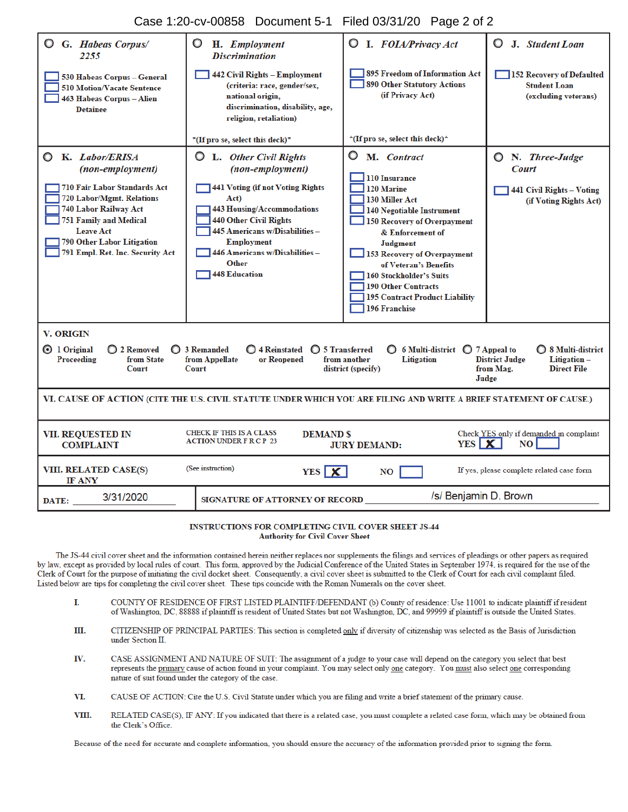Case 1:20-cv-00858 Document 5-1 Filed 03/31/20 Page 2 of 2

| G. Habeas Corpus/<br>2255                                                                                                                                                                                                                                                                                                                                                                        | O<br>H. Employment<br><b>Discrimination</b>                                                                                                                                                                                                                                                      | $\bigcirc$ I. FOIA/Privacy Act                                                                                                                                                                                                                                                                                                                                | J. Student Loan<br>O                                                                    |  |  |  |
|--------------------------------------------------------------------------------------------------------------------------------------------------------------------------------------------------------------------------------------------------------------------------------------------------------------------------------------------------------------------------------------------------|--------------------------------------------------------------------------------------------------------------------------------------------------------------------------------------------------------------------------------------------------------------------------------------------------|---------------------------------------------------------------------------------------------------------------------------------------------------------------------------------------------------------------------------------------------------------------------------------------------------------------------------------------------------------------|-----------------------------------------------------------------------------------------|--|--|--|
| 530 Habeas Corpus - General<br><b>510 Motion/Vacate Sentence</b><br>463 Habeas Corpus - Alien<br><b>Detainee</b>                                                                                                                                                                                                                                                                                 | 442 Civil Rights - Employment<br>(criteria: race, gender/sex,<br>national origin,<br>discrimination, disability, age,<br>religion, retaliation)                                                                                                                                                  | <b>895 Freedom of Information Act</b><br><b>890 Other Statutory Actions</b><br>(if Privacy Act)                                                                                                                                                                                                                                                               | 152 Recovery of Defaulted<br><b>Student Loan</b><br>(excluding veterans)                |  |  |  |
|                                                                                                                                                                                                                                                                                                                                                                                                  | $*(\text{If pro se, select this deck})^*$                                                                                                                                                                                                                                                        | *(If pro se, select this deck)*                                                                                                                                                                                                                                                                                                                               |                                                                                         |  |  |  |
| K. Labor/ERISA<br>(non-employment)<br>710 Fair Labor Standards Act<br>720 Labor/Mgmt. Relations<br>740 Labor Railway Act<br><b>751 Family and Medical</b><br><b>Leave Act</b><br><b>790 Other Labor Litigation</b><br>791 Empl. Ret. Inc. Security Act                                                                                                                                           | $\bigcirc$ L. Other Civil Rights<br>(non-employment)<br><b>441 Voting (if not Voting Rights</b><br>Act)<br>443 Housing/Accommodations<br><b>440 Other Civil Rights</b><br>445 Americans w/Disabilities -<br><b>Employment</b><br>446 Americans w/Disabilities -<br>Other<br><b>448 Education</b> | O<br>M. Contract<br>110 Insurance<br>120 Marine<br>130 Miller Act<br><b>140 Negotiable Instrument</b><br>150 Recovery of Overpayment<br>& Enforcement of<br>Judgment<br>153 Recovery of Overpayment<br>of Veteran's Benefits<br><b>160 Stockholder's Suits</b><br><b>190 Other Contracts</b><br><b>195 Contract Product Liability</b><br><b>196 Franchise</b> | O N. Three-Judge<br><b>Court</b><br>441 Civil Rights - Voting<br>(if Voting Rights Act) |  |  |  |
| <b>V. ORIGIN</b>                                                                                                                                                                                                                                                                                                                                                                                 |                                                                                                                                                                                                                                                                                                  |                                                                                                                                                                                                                                                                                                                                                               |                                                                                         |  |  |  |
| 6 Multi-district $\bigcirc$ 7 Appeal to<br>8 Multi-district<br>1 Original<br>◯ 2 Removed<br><b>3 Remanded</b><br>$\bigcirc$ 4 Reinstated<br>◯ 5 Transferred<br>Proceeding<br>or Reopened<br>from another<br><b>Litigation</b><br><b>District Judge</b><br>Litigation-<br>from State<br>from Appellate<br>from Mag.<br><b>Direct File</b><br><b>Court</b><br>Court<br>district (specify)<br>Judge |                                                                                                                                                                                                                                                                                                  |                                                                                                                                                                                                                                                                                                                                                               |                                                                                         |  |  |  |
| VI. CAUSE OF ACTION (CITE THE U.S. CIVIL STATUTE UNDER WHICH YOU ARE FILING AND WRITE A BRIEF STATEMENT OF CAUSE.)                                                                                                                                                                                                                                                                               |                                                                                                                                                                                                                                                                                                  |                                                                                                                                                                                                                                                                                                                                                               |                                                                                         |  |  |  |
| <b>CHECK IF THIS IS A CLASS</b><br>Check YES only if demanded in complaint<br>VII. REQUESTED IN<br><b>DEMAND \$</b><br><b>ACTION UNDER F R C P 23</b><br>YES X<br>NO<br><b>COMPLAINT</b><br><b>JURY DEMAND:</b>                                                                                                                                                                                  |                                                                                                                                                                                                                                                                                                  |                                                                                                                                                                                                                                                                                                                                                               |                                                                                         |  |  |  |
| <b>VIII. RELATED CASE(S)</b><br><b>IF ANY</b>                                                                                                                                                                                                                                                                                                                                                    | (See instruction)<br>YES X                                                                                                                                                                                                                                                                       | NO                                                                                                                                                                                                                                                                                                                                                            | If yes, please complete related case form                                               |  |  |  |
| 3/31/2020<br>DATE:                                                                                                                                                                                                                                                                                                                                                                               | SIGNATURE OF ATTORNEY OF RECORD                                                                                                                                                                                                                                                                  | /s/ Benjamin D. Brown                                                                                                                                                                                                                                                                                                                                         |                                                                                         |  |  |  |

#### INSTRUCTIONS FOR COMPLETING CIVIL COVER SHEET JS-44 **Authority for Civil Cover Sheet**

The JS-44 civil cover sheet and the information contained herein neither replaces nor supplements the filings and services of pleadings or other papers as required by law, except as provided by local rules of court. This form, approved by the Judicial Conference of the United States in September 1974, is required for the use of the Clerk of Court for the purpose of initiating the civil docket sheet. Consequently, a civil cover sheet is submitted to the Clerk of Court for each civil complaint filed. Listed below are tips for completing the civil cover sheet. These tips coincide with the Roman Numerals on the cover sheet.

- COUNTY OF RESIDENCE OF FIRST LISTED PLAINTIFF/DEFENDANT (b) County of residence: Use 11001 to indicate plaintiff if resident I. of Washington, DC, 88888 if plaintiff is resident of United States but not Washington, DC, and 99999 if plaintiff is outside the United States.
- Ш. CITIZENSHIP OF PRINCIPAL PARTIES: This section is completed only if diversity of citizenship was selected as the Basis of Jurisdiction under Section II.
- CASE ASSIGNMENT AND NATURE OF SUIT: The assignment of a judge to your case will depend on the category you select that best IV. represents the primary cause of action found in your complaint. You may select only one category. You must also select one corresponding nature of suit found under the category of the case.
- VI. CAUSE OF ACTION: Cite the U.S. Civil Statute under which you are filing and write a brief statement of the primary cause.
- VIII. RELATED CASE(S), IF ANY: If you indicated that there is a related case, you must complete a related case form, which may be obtained from the Clerk's Office.

Because of the need for accurate and complete information, you should ensure the accuracy of the information provided prior to signing the form.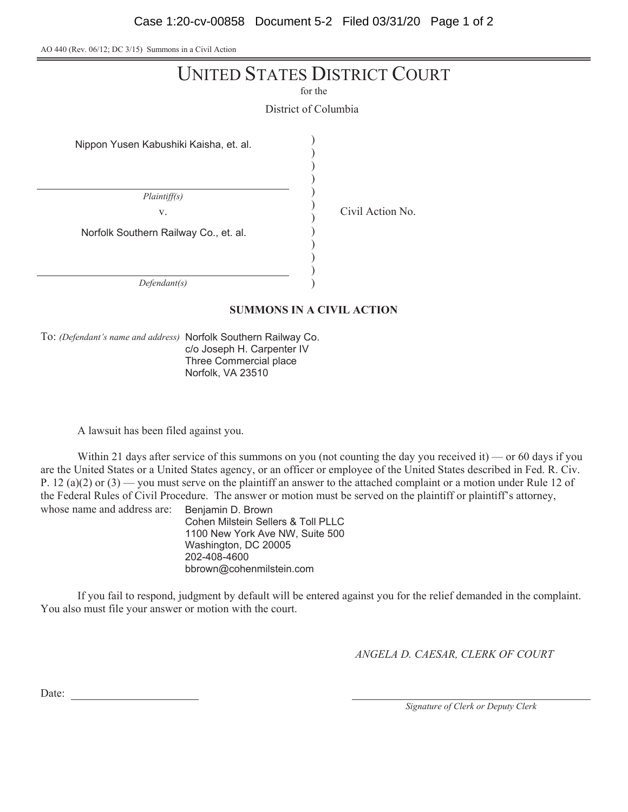AO 440 (Rev. 06/12; DC 3/15) Summons in a Civil Action

# UNITED STATES DISTRICT COURT

for the

District of Columbia

 $\mathcal{E}$  $\mathcal{L}$  $\mathcal{E}$  $\mathcal{E}$  $\mathcal{E}$  $\mathcal{E}$  $\mathcal{E}$  $\mathcal{E}$  $\mathcal{E}$  $\mathcal{E}$  $\overline{\mathcal{L}}$  $\mathcal{E}$ 

Nippon Yusen Kabushiki Kaisha, et. al.

 $Plaintiff(s)$ 

V. Civil Action No.

Norfolk Southern Railway Co., et. al.

 $Defendant(s)$ 

# **SUMMONS IN A CIVIL ACTION**

To: (Defendant's name and address) Norfolk Southern Railway Co. c/o Joseph H. Carpenter IV Three Commercial place Norfolk, VA 23510

A lawsuit has been filed against you.

Within 21 days after service of this summons on you (not counting the day you received it) — or 60 days if you are the United States or a United States agency, or an officer or employee of the United States described in Fed. R. Civ. P. 12 (a)(2) or (3) — you must serve on the plaintiff an answer to the attached complaint or a motion under Rule 12 of the Federal Rules of Civil Procedure. The answer or motion must be served on the plaintiff or plaintiff's attorney, whose name and address are: Benjamin D. Brown

Cohen Milstein Sellers & Toll PLLC 1100 New York Ave NW, Suite 500 Washington, DC 20005 202-408-4600 bbrown@cohenmilstein.com

If you fail to respond, judgment by default will be entered against you for the relief demanded in the complaint. You also must file your answer or motion with the court.

*ANGELA D. CAESAR, CLERK OF COURT* 

Date:

*Signature of Clerk or Deputy Clerk*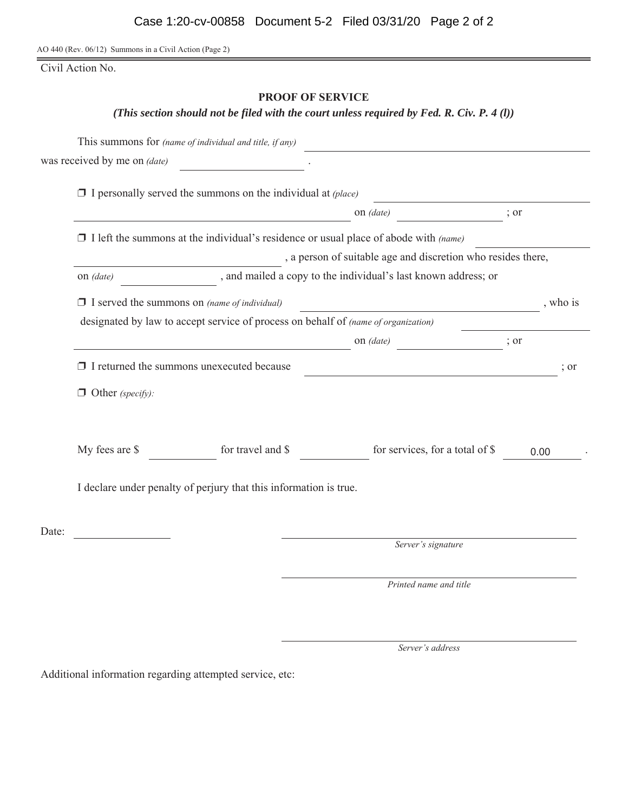AO 440 (Rev. 06/12) Summons in a Civil Action (Page 2)

Civil Action No.

# **PROOF OF SERVICE**

*(This section should not be filed with the court unless required by Fed. R. Civ. P. 4 (l))*

|       |                                     | This summons for (name of individual and title, if any)                                     | <u> 1980 - Johann Barbara, martxa alemaniar amerikan basar da a</u>                                                   |                  |                  |
|-------|-------------------------------------|---------------------------------------------------------------------------------------------|-----------------------------------------------------------------------------------------------------------------------|------------------|------------------|
|       | was received by me on <i>(date)</i> |                                                                                             |                                                                                                                       |                  |                  |
|       |                                     | $\Box$ I personally served the summons on the individual at (place)                         |                                                                                                                       |                  |                  |
|       |                                     |                                                                                             | on (date)                                                                                                             | $\frac{1}{2}$ or |                  |
|       |                                     | $\Box$ I left the summons at the individual's residence or usual place of abode with (name) |                                                                                                                       |                  |                  |
|       |                                     |                                                                                             | , a person of suitable age and discretion who resides there,                                                          |                  |                  |
|       | on <i>(date)</i>                    |                                                                                             | , and mailed a copy to the individual's last known address; or                                                        |                  |                  |
|       |                                     | $\Box$ I served the summons on (name of individual)                                         |                                                                                                                       |                  | , who is         |
|       |                                     | designated by law to accept service of process on behalf of <i>(name of organization)</i>   |                                                                                                                       |                  |                  |
|       |                                     |                                                                                             | on (date)<br>$\frac{1}{2}$ or                                                                                         |                  |                  |
|       |                                     | $\Box$ I returned the summons unexecuted because                                            | <u> 1980 - Johann Stoff, deutscher Stoff, der Stoff, der Stoff, der Stoff, der Stoff, der Stoff, der Stoff, der S</u> |                  | $\frac{1}{2}$ or |
|       | $\Box$ Other (specify):             |                                                                                             |                                                                                                                       |                  |                  |
|       |                                     |                                                                                             |                                                                                                                       |                  |                  |
|       | My fees are \$                      | for travel and \$                                                                           | for services, for a total of \$                                                                                       |                  | 0.00             |
|       |                                     | I declare under penalty of perjury that this information is true.                           |                                                                                                                       |                  |                  |
| Date: |                                     |                                                                                             |                                                                                                                       |                  |                  |
|       |                                     |                                                                                             | Server's signature                                                                                                    |                  |                  |
|       |                                     |                                                                                             | Printed name and title                                                                                                |                  |                  |

Server's address

Additional information regarding attempted service, etc: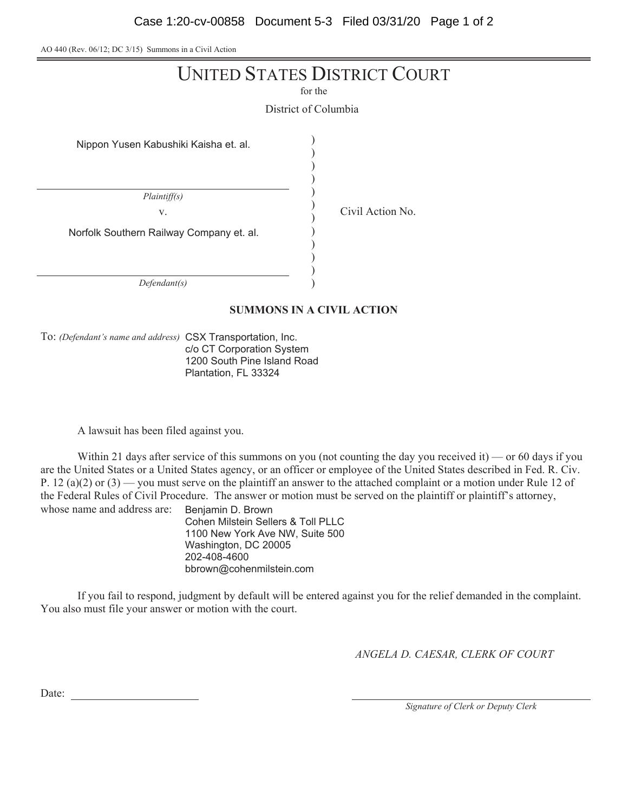AO 440 (Rev. 06/12; DC 3/15) Summons in a Civil Action

# UNITED STATES DISTRICT COURT

for the

District of Columbia

 $\mathcal{E}$  $\mathcal{L}$  $\mathcal{E}$  $\mathcal{E}$  $\mathcal{E}$  $\mathcal{E}$  $\mathcal{E}$  $\mathcal{E}$  $\mathcal{E}$  $\mathcal{E}$  $\mathcal{E}$  $\mathcal{E}$ 

Nippon Yusen Kabushiki Kaisha et. al.

 $Plaintiff(s)$ 

V. Civil Action No.

Norfolk Southern Railway Company et. al.

 $Defendant(s)$ 

# **SUMMONS IN A CIVIL ACTION**

To: (Defendant's name and address) CSX Transportation, Inc. c/o CT Corporation System 1200 South Pine Island Road Plantation, FL 33324

A lawsuit has been filed against you.

Within 21 days after service of this summons on you (not counting the day you received it) — or 60 days if you are the United States or a United States agency, or an officer or employee of the United States described in Fed. R. Civ. P. 12 (a)(2) or (3) — you must serve on the plaintiff an answer to the attached complaint or a motion under Rule 12 of the Federal Rules of Civil Procedure. The answer or motion must be served on the plaintiff or plaintiff's attorney, whose name and address are: Benjamin D. Brown

Cohen Milstein Sellers & Toll PLLC 1100 New York Ave NW, Suite 500 Washington, DC 20005 202-408-4600 bbrown@cohenmilstein.com

If you fail to respond, judgment by default will be entered against you for the relief demanded in the complaint. You also must file your answer or motion with the court.

*ANGELA D. CAESAR, CLERK OF COURT* 

Date:

*Signature of Clerk or Deputy Clerk*